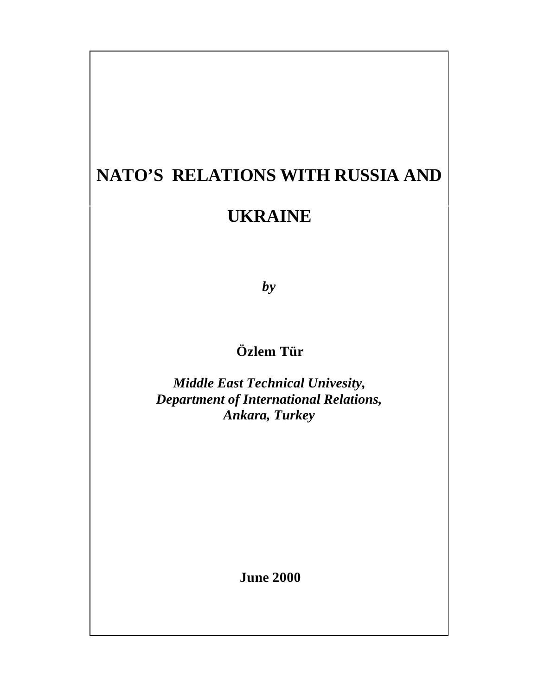# **NATO'S RELATIONS WITH RUSSIA AND**

# **UKRAINE**

*by*

# **Özlem Tür**

*Middle East Technical Univesity, Department of International Relations, Ankara, Turkey*

 **June 2000**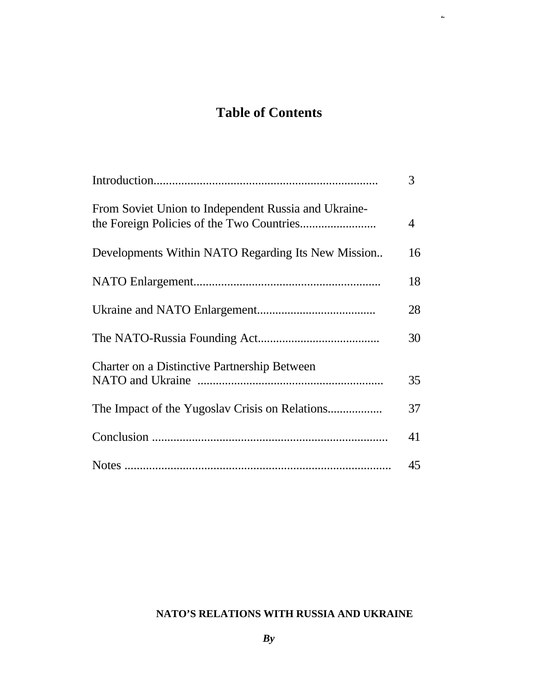# **Table of Contents**

 $\omega$ 

|                                                      | 3  |
|------------------------------------------------------|----|
| From Soviet Union to Independent Russia and Ukraine- | 4  |
| Developments Within NATO Regarding Its New Mission   | 16 |
|                                                      | 18 |
|                                                      | 28 |
|                                                      | 30 |
| Charter on a Distinctive Partnership Between         | 35 |
|                                                      | 37 |
|                                                      | 41 |
|                                                      | 45 |

## **NATO'S RELATIONS WITH RUSSIA AND UKRAINE**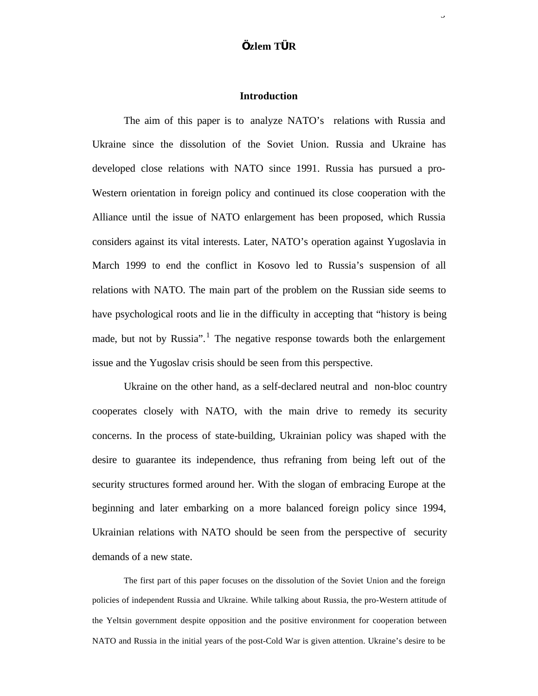## **Özlem TÜR**

3

### **Introduction**

The aim of this paper is to analyze NATO's relations with Russia and Ukraine since the dissolution of the Soviet Union. Russia and Ukraine has developed close relations with NATO since 1991. Russia has pursued a pro-Western orientation in foreign policy and continued its close cooperation with the Alliance until the issue of NATO enlargement has been proposed, which Russia considers against its vital interests. Later, NATO's operation against Yugoslavia in March 1999 to end the conflict in Kosovo led to Russia's suspension of all relations with NATO. The main part of the problem on the Russian side seems to have psychological roots and lie in the difficulty in accepting that "history is being made, but not by Russia".<sup>1</sup> The negative response towards both the enlargement issue and the Yugoslav crisis should be seen from this perspective.

Ukraine on the other hand, as a self-declared neutral and non-bloc country cooperates closely with NATO, with the main drive to remedy its security concerns. In the process of state-building, Ukrainian policy was shaped with the desire to guarantee its independence, thus refraning from being left out of the security structures formed around her. With the slogan of embracing Europe at the beginning and later embarking on a more balanced foreign policy since 1994, Ukrainian relations with NATO should be seen from the perspective of security demands of a new state.

The first part of this paper focuses on the dissolution of the Soviet Union and the foreign policies of independent Russia and Ukraine. While talking about Russia, the pro-Western attitude of the Yeltsin government despite opposition and the positive environment for cooperation between NATO and Russia in the initial years of the post-Cold War is given attention. Ukraine's desire to be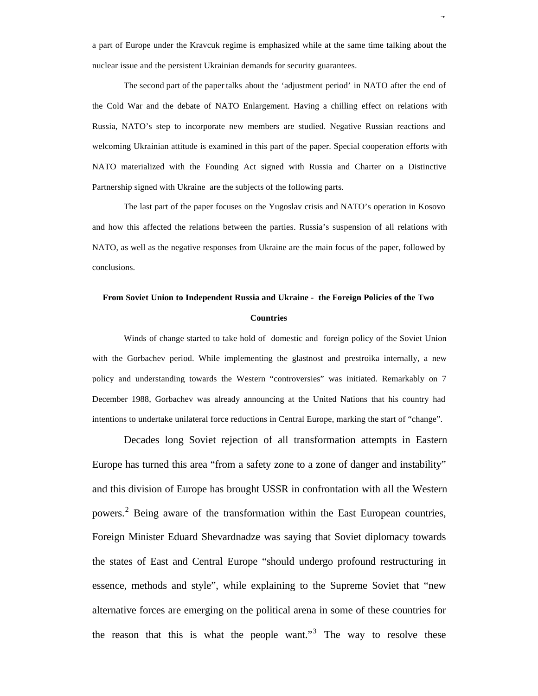a part of Europe under the Kravcuk regime is emphasized while at the same time talking about the nuclear issue and the persistent Ukrainian demands for security guarantees.

The second part of the paper talks about the 'adjustment period' in NATO after the end of the Cold War and the debate of NATO Enlargement. Having a chilling effect on relations with Russia, NATO's step to incorporate new members are studied. Negative Russian reactions and welcoming Ukrainian attitude is examined in this part of the paper. Special cooperation efforts with NATO materialized with the Founding Act signed with Russia and Charter on a Distinctive Partnership signed with Ukraine are the subjects of the following parts.

The last part of the paper focuses on the Yugoslav crisis and NATO's operation in Kosovo and how this affected the relations between the parties. Russia's suspension of all relations with NATO, as well as the negative responses from Ukraine are the main focus of the paper, followed by conclusions.

# **From Soviet Union to Independent Russia and Ukraine - the Foreign Policies of the Two Countries**

Winds of change started to take hold of domestic and foreign policy of the Soviet Union with the Gorbachev period. While implementing the glastnost and prestroika internally, a new policy and understanding towards the Western "controversies" was initiated. Remarkably on 7 December 1988, Gorbachev was already announcing at the United Nations that his country had intentions to undertake unilateral force reductions in Central Europe, marking the start of "change".

Decades long Soviet rejection of all transformation attempts in Eastern Europe has turned this area "from a safety zone to a zone of danger and instability" and this division of Europe has brought USSR in confrontation with all the Western powers.<sup>2</sup> Being aware of the transformation within the East European countries, Foreign Minister Eduard Shevardnadze was saying that Soviet diplomacy towards the states of East and Central Europe "should undergo profound restructuring in essence, methods and style", while explaining to the Supreme Soviet that "new alternative forces are emerging on the political arena in some of these countries for the reason that this is what the people want."<sup>3</sup> The way to resolve these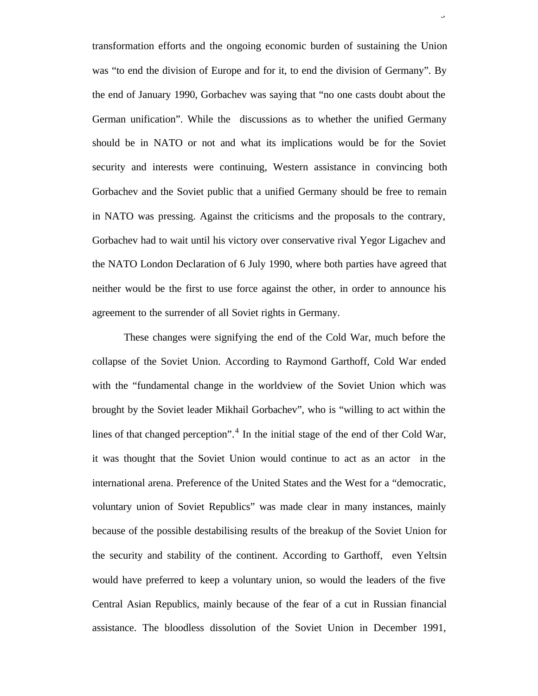transformation efforts and the ongoing economic burden of sustaining the Union was "to end the division of Europe and for it, to end the division of Germany". By the end of January 1990, Gorbachev was saying that "no one casts doubt about the German unification". While the discussions as to whether the unified Germany should be in NATO or not and what its implications would be for the Soviet security and interests were continuing, Western assistance in convincing both Gorbachev and the Soviet public that a unified Germany should be free to remain in NATO was pressing. Against the criticisms and the proposals to the contrary, Gorbachev had to wait until his victory over conservative rival Yegor Ligachev and the NATO London Declaration of 6 July 1990, where both parties have agreed that neither would be the first to use force against the other, in order to announce his agreement to the surrender of all Soviet rights in Germany.

 $\overline{a}$ 

These changes were signifying the end of the Cold War, much before the collapse of the Soviet Union. According to Raymond Garthoff, Cold War ended with the "fundamental change in the worldview of the Soviet Union which was brought by the Soviet leader Mikhail Gorbachev", who is "willing to act within the lines of that changed perception".<sup>4</sup> In the initial stage of the end of ther Cold War, it was thought that the Soviet Union would continue to act as an actor in the international arena. Preference of the United States and the West for a "democratic, voluntary union of Soviet Republics" was made clear in many instances, mainly because of the possible destabilising results of the breakup of the Soviet Union for the security and stability of the continent. According to Garthoff, even Yeltsin would have preferred to keep a voluntary union, so would the leaders of the five Central Asian Republics, mainly because of the fear of a cut in Russian financial assistance. The bloodless dissolution of the Soviet Union in December 1991,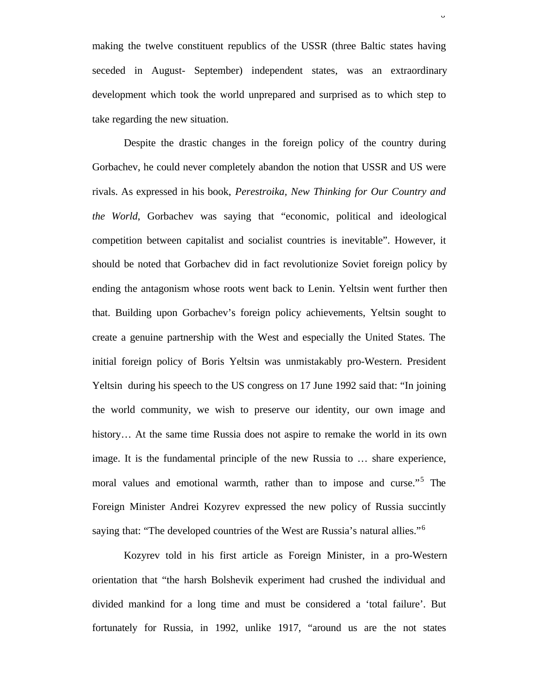making the twelve constituent republics of the USSR (three Baltic states having seceded in August- September) independent states, was an extraordinary development which took the world unprepared and surprised as to which step to take regarding the new situation.

Despite the drastic changes in the foreign policy of the country during Gorbachev, he could never completely abandon the notion that USSR and US were rivals. As expressed in his book, *Perestroika, New Thinking for Our Country and the World*, Gorbachev was saying that "economic, political and ideological competition between capitalist and socialist countries is inevitable". However, it should be noted that Gorbachev did in fact revolutionize Soviet foreign policy by ending the antagonism whose roots went back to Lenin. Yeltsin went further then that. Building upon Gorbachev's foreign policy achievements, Yeltsin sought to create a genuine partnership with the West and especially the United States. The initial foreign policy of Boris Yeltsin was unmistakably pro-Western. President Yeltsin during his speech to the US congress on 17 June 1992 said that: "In joining the world community, we wish to preserve our identity, our own image and history... At the same time Russia does not aspire to remake the world in its own image. It is the fundamental principle of the new Russia to … share experience, moral values and emotional warmth, rather than to impose and curse."<sup>5</sup> The Foreign Minister Andrei Kozyrev expressed the new policy of Russia succintly saying that: "The developed countries of the West are Russia's natural allies."<sup>6</sup>

Kozyrev told in his first article as Foreign Minister, in a pro-Western orientation that "the harsh Bolshevik experiment had crushed the individual and divided mankind for a long time and must be considered a 'total failure'. But fortunately for Russia, in 1992, unlike 1917, "around us are the not states

 $\mathbf{v}$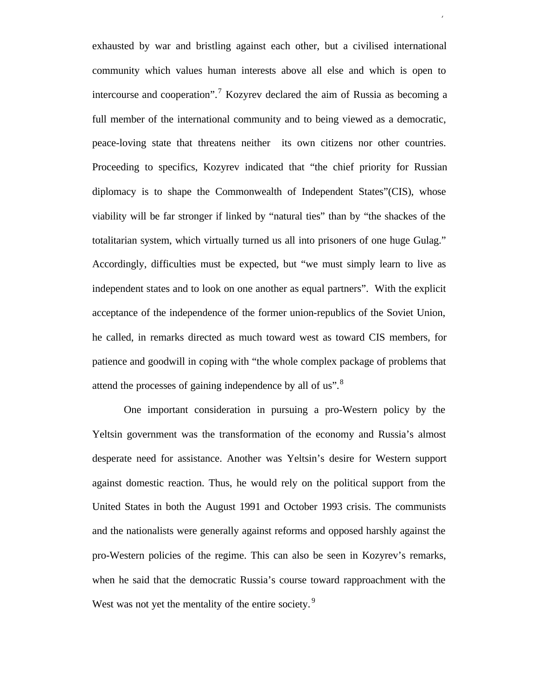exhausted by war and bristling against each other, but a civilised international community which values human interests above all else and which is open to intercourse and cooperation".<sup>7</sup> Kozyrev declared the aim of Russia as becoming a full member of the international community and to being viewed as a democratic, peace-loving state that threatens neither its own citizens nor other countries. Proceeding to specifics, Kozyrev indicated that "the chief priority for Russian diplomacy is to shape the Commonwealth of Independent States"(CIS), whose viability will be far stronger if linked by "natural ties" than by "the shackes of the totalitarian system, which virtually turned us all into prisoners of one huge Gulag." Accordingly, difficulties must be expected, but "we must simply learn to live as independent states and to look on one another as equal partners". With the explicit acceptance of the independence of the former union-republics of the Soviet Union, he called, in remarks directed as much toward west as toward CIS members, for patience and goodwill in coping with "the whole complex package of problems that attend the processes of gaining independence by all of us".<sup>8</sup>

7

One important consideration in pursuing a pro-Western policy by the Yeltsin government was the transformation of the economy and Russia's almost desperate need for assistance. Another was Yeltsin's desire for Western support against domestic reaction. Thus, he would rely on the political support from the United States in both the August 1991 and October 1993 crisis. The communists and the nationalists were generally against reforms and opposed harshly against the pro-Western policies of the regime. This can also be seen in Kozyrev's remarks, when he said that the democratic Russia's course toward rapproachment with the West was not yet the mentality of the entire society.<sup>9</sup>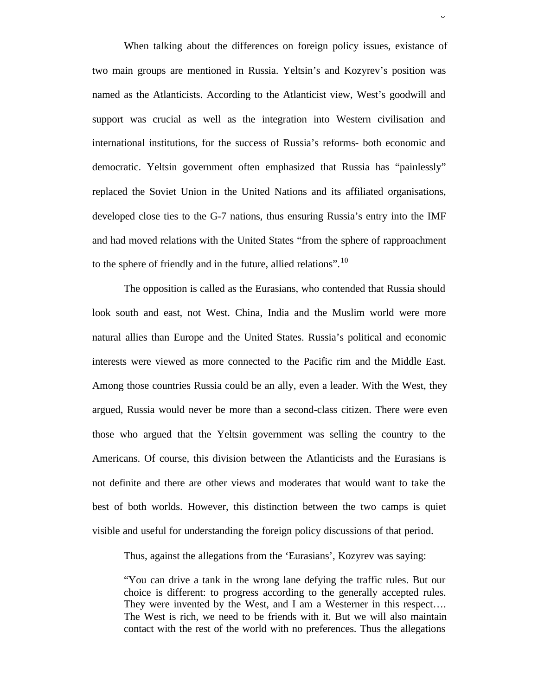When talking about the differences on foreign policy issues, existance of two main groups are mentioned in Russia. Yeltsin's and Kozyrev's position was named as the Atlanticists. According to the Atlanticist view, West's goodwill and support was crucial as well as the integration into Western civilisation and international institutions, for the success of Russia's reforms- both economic and democratic. Yeltsin government often emphasized that Russia has "painlessly" replaced the Soviet Union in the United Nations and its affiliated organisations, developed close ties to the G-7 nations, thus ensuring Russia's entry into the IMF and had moved relations with the United States "from the sphere of rapproachment to the sphere of friendly and in the future, allied relations".<sup>10</sup>

The opposition is called as the Eurasians, who contended that Russia should look south and east, not West. China, India and the Muslim world were more natural allies than Europe and the United States. Russia's political and economic interests were viewed as more connected to the Pacific rim and the Middle East. Among those countries Russia could be an ally, even a leader. With the West, they argued, Russia would never be more than a second-class citizen. There were even those who argued that the Yeltsin government was selling the country to the Americans. Of course, this division between the Atlanticists and the Eurasians is not definite and there are other views and moderates that would want to take the best of both worlds. However, this distinction between the two camps is quiet visible and useful for understanding the foreign policy discussions of that period.

Thus, against the allegations from the 'Eurasians', Kozyrev was saying:

"You can drive a tank in the wrong lane defying the traffic rules. But our choice is different: to progress according to the generally accepted rules. They were invented by the West, and I am a Westerner in this respect.... The West is rich, we need to be friends with it. But we will also maintain contact with the rest of the world with no preferences. Thus the allegations

 $\circ$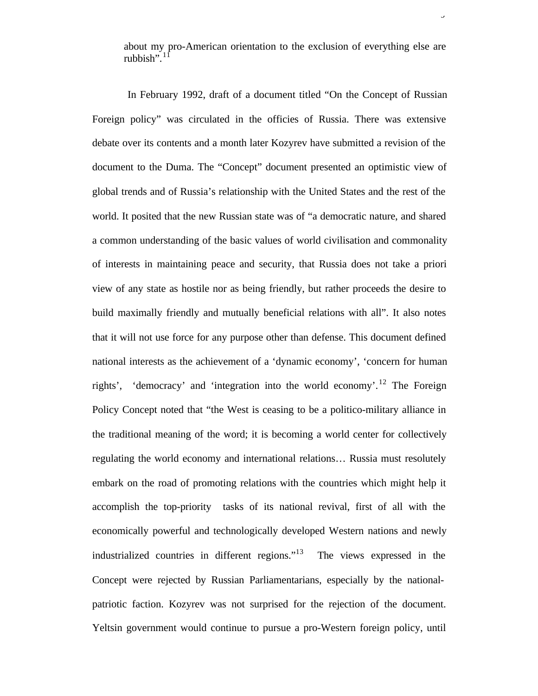about my pro-American orientation to the exclusion of everything else are rubbish". $1$ 

 In February 1992, draft of a document titled "On the Concept of Russian Foreign policy" was circulated in the officies of Russia. There was extensive debate over its contents and a month later Kozyrev have submitted a revision of the document to the Duma. The "Concept" document presented an optimistic view of global trends and of Russia's relationship with the United States and the rest of the world. It posited that the new Russian state was of "a democratic nature, and shared a common understanding of the basic values of world civilisation and commonality of interests in maintaining peace and security, that Russia does not take a priori view of any state as hostile nor as being friendly, but rather proceeds the desire to build maximally friendly and mutually beneficial relations with all". It also notes that it will not use force for any purpose other than defense. This document defined national interests as the achievement of a 'dynamic economy', 'concern for human rights', 'democracy' and 'integration into the world economy'.<sup>12</sup> The Foreign Policy Concept noted that "the West is ceasing to be a politico-military alliance in the traditional meaning of the word; it is becoming a world center for collectively regulating the world economy and international relations… Russia must resolutely embark on the road of promoting relations with the countries which might help it accomplish the top-priority tasks of its national revival, first of all with the economically powerful and technologically developed Western nations and newly industrialized countries in different regions."<sup>13</sup> The views expressed in the Concept were rejected by Russian Parliamentarians, especially by the nationalpatriotic faction. Kozyrev was not surprised for the rejection of the document. Yeltsin government would continue to pursue a pro-Western foreign policy, until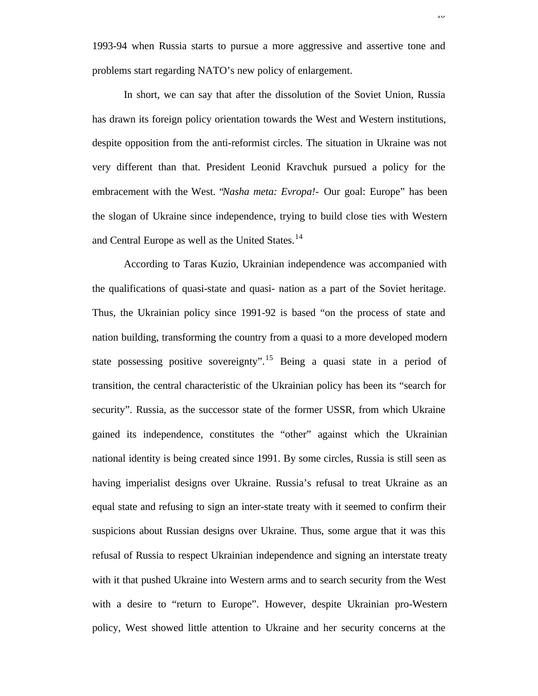1993-94 when Russia starts to pursue a more aggressive and assertive tone and problems start regarding NATO's new policy of enlargement.

In short, we can say that after the dissolution of the Soviet Union, Russia has drawn its foreign policy orientation towards the West and Western institutions, despite opposition from the anti-reformist circles. The situation in Ukraine was not very different than that. President Leonid Kravchuk pursued a policy for the embracement with the West. "*Nasha meta: Evropa!-* Our goal: Europe" has been the slogan of Ukraine since independence, trying to build close ties with Western and Central Europe as well as the United States.<sup>14</sup>

According to Taras Kuzio, Ukrainian independence was accompanied with the qualifications of quasi-state and quasi- nation as a part of the Soviet heritage. Thus, the Ukrainian policy since 1991-92 is based "on the process of state and nation building, transforming the country from a quasi to a more developed modern state possessing positive sovereignty".<sup>15</sup> Being a quasi state in a period of transition, the central characteristic of the Ukrainian policy has been its "search for security". Russia, as the successor state of the former USSR, from which Ukraine gained its independence, constitutes the "other" against which the Ukrainian national identity is being created since 1991. By some circles, Russia is still seen as having imperialist designs over Ukraine. Russia's refusal to treat Ukraine as an equal state and refusing to sign an inter-state treaty with it seemed to confirm their suspicions about Russian designs over Ukraine. Thus, some argue that it was this refusal of Russia to respect Ukrainian independence and signing an interstate treaty with it that pushed Ukraine into Western arms and to search security from the West with a desire to "return to Europe". However, despite Ukrainian pro-Western policy, West showed little attention to Ukraine and her security concerns at the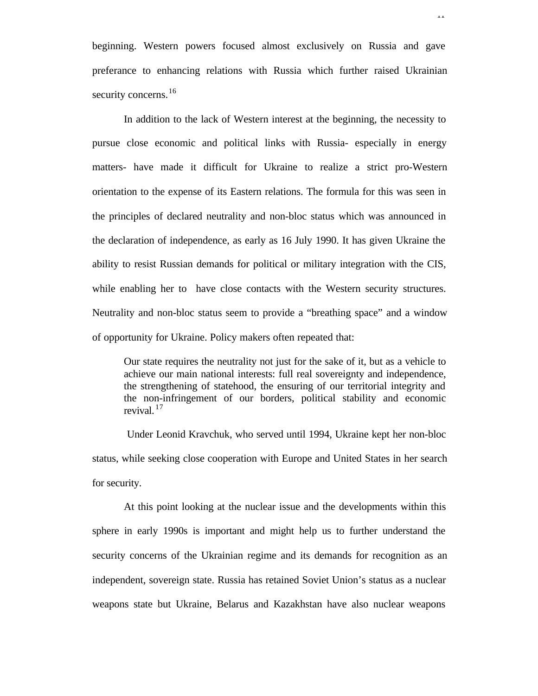beginning. Western powers focused almost exclusively on Russia and gave preferance to enhancing relations with Russia which further raised Ukrainian security concerns.<sup>16</sup>

In addition to the lack of Western interest at the beginning, the necessity to pursue close economic and political links with Russia- especially in energy matters- have made it difficult for Ukraine to realize a strict pro-Western orientation to the expense of its Eastern relations. The formula for this was seen in the principles of declared neutrality and non-bloc status which was announced in the declaration of independence, as early as 16 July 1990. It has given Ukraine the ability to resist Russian demands for political or military integration with the CIS, while enabling her to have close contacts with the Western security structures. Neutrality and non-bloc status seem to provide a "breathing space" and a window of opportunity for Ukraine. Policy makers often repeated that:

Our state requires the neutrality not just for the sake of it, but as a vehicle to achieve our main national interests: full real sovereignty and independence, the strengthening of statehood, the ensuring of our territorial integrity and the non-infringement of our borders, political stability and economic revival. <sup>17</sup>

 Under Leonid Kravchuk, who served until 1994, Ukraine kept her non-bloc status, while seeking close cooperation with Europe and United States in her search for security.

At this point looking at the nuclear issue and the developments within this sphere in early 1990s is important and might help us to further understand the security concerns of the Ukrainian regime and its demands for recognition as an independent, sovereign state. Russia has retained Soviet Union's status as a nuclear weapons state but Ukraine, Belarus and Kazakhstan have also nuclear weapons

11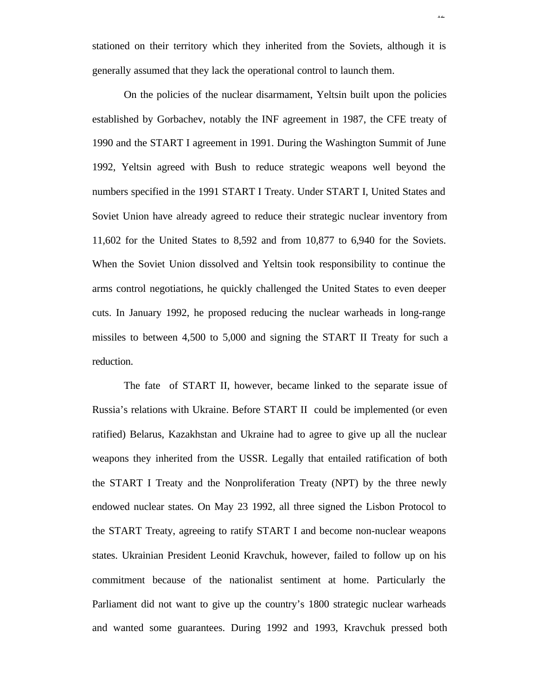stationed on their territory which they inherited from the Soviets, although it is generally assumed that they lack the operational control to launch them.

12

On the policies of the nuclear disarmament, Yeltsin built upon the policies established by Gorbachev, notably the INF agreement in 1987, the CFE treaty of 1990 and the START I agreement in 1991. During the Washington Summit of June 1992, Yeltsin agreed with Bush to reduce strategic weapons well beyond the numbers specified in the 1991 START I Treaty. Under START I, United States and Soviet Union have already agreed to reduce their strategic nuclear inventory from 11,602 for the United States to 8,592 and from 10,877 to 6,940 for the Soviets. When the Soviet Union dissolved and Yeltsin took responsibility to continue the arms control negotiations, he quickly challenged the United States to even deeper cuts. In January 1992, he proposed reducing the nuclear warheads in long-range missiles to between 4,500 to 5,000 and signing the START II Treaty for such a reduction.

The fate of START II, however, became linked to the separate issue of Russia's relations with Ukraine. Before START II could be implemented (or even ratified) Belarus, Kazakhstan and Ukraine had to agree to give up all the nuclear weapons they inherited from the USSR. Legally that entailed ratification of both the START I Treaty and the Nonproliferation Treaty (NPT) by the three newly endowed nuclear states. On May 23 1992, all three signed the Lisbon Protocol to the START Treaty, agreeing to ratify START I and become non-nuclear weapons states. Ukrainian President Leonid Kravchuk, however, failed to follow up on his commitment because of the nationalist sentiment at home. Particularly the Parliament did not want to give up the country's 1800 strategic nuclear warheads and wanted some guarantees. During 1992 and 1993, Kravchuk pressed both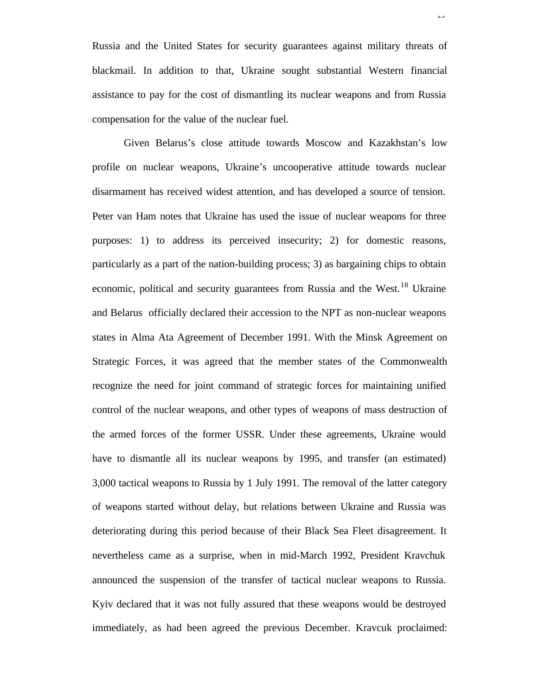Russia and the United States for security guarantees against military threats of blackmail. In addition to that, Ukraine sought substantial Western financial assistance to pay for the cost of dismantling its nuclear weapons and from Russia compensation for the value of the nuclear fuel.

Given Belarus's close attitude towards Moscow and Kazakhstan's low profile on nuclear weapons, Ukraine's uncooperative attitude towards nuclear disarmament has received widest attention, and has developed a source of tension. Peter van Ham notes that Ukraine has used the issue of nuclear weapons for three purposes: 1) to address its perceived insecurity; 2) for domestic reasons, particularly as a part of the nation-building process; 3) as bargaining chips to obtain economic, political and security guarantees from Russia and the West.<sup>18</sup> Ukraine and Belarus officially declared their accession to the NPT as non-nuclear weapons states in Alma Ata Agreement of December 1991. With the Minsk Agreement on Strategic Forces, it was agreed that the member states of the Commonwealth recognize the need for joint command of strategic forces for maintaining unified control of the nuclear weapons, and other types of weapons of mass destruction of the armed forces of the former USSR. Under these agreements, Ukraine would have to dismantle all its nuclear weapons by 1995, and transfer (an estimated) 3,000 tactical weapons to Russia by 1 July 1991. The removal of the latter category of weapons started without delay, but relations between Ukraine and Russia was deteriorating during this period because of their Black Sea Fleet disagreement. It nevertheless came as a surprise, when in mid-March 1992, President Kravchuk announced the suspension of the transfer of tactical nuclear weapons to Russia. Kyiv declared that it was not fully assured that these weapons would be destroyed immediately, as had been agreed the previous December. Kravcuk proclaimed:

13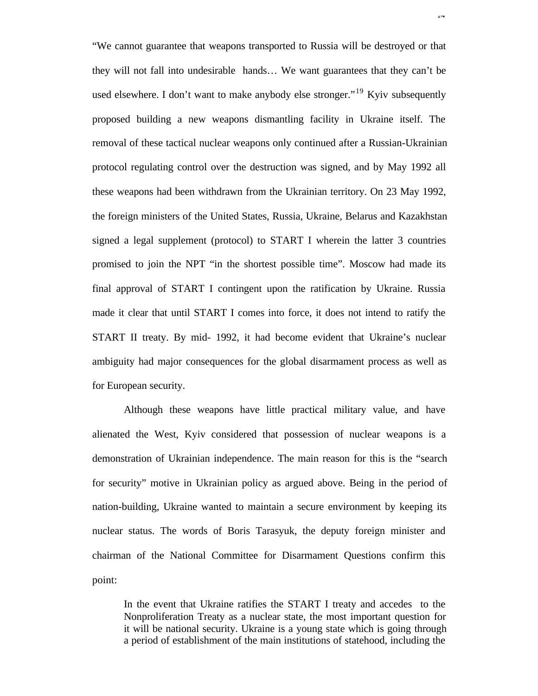"We cannot guarantee that weapons transported to Russia will be destroyed or that they will not fall into undesirable hands… We want guarantees that they can't be used elsewhere. I don't want to make anybody else stronger."<sup>19</sup> Kyiv subsequently proposed building a new weapons dismantling facility in Ukraine itself. The removal of these tactical nuclear weapons only continued after a Russian-Ukrainian protocol regulating control over the destruction was signed, and by May 1992 all these weapons had been withdrawn from the Ukrainian territory. On 23 May 1992, the foreign ministers of the United States, Russia, Ukraine, Belarus and Kazakhstan signed a legal supplement (protocol) to START I wherein the latter 3 countries promised to join the NPT "in the shortest possible time". Moscow had made its final approval of START I contingent upon the ratification by Ukraine. Russia made it clear that until START I comes into force, it does not intend to ratify the START II treaty. By mid- 1992, it had become evident that Ukraine's nuclear ambiguity had major consequences for the global disarmament process as well as for European security.

 $1+$ 

Although these weapons have little practical military value, and have alienated the West, Kyiv considered that possession of nuclear weapons is a demonstration of Ukrainian independence. The main reason for this is the "search for security" motive in Ukrainian policy as argued above. Being in the period of nation-building, Ukraine wanted to maintain a secure environment by keeping its nuclear status. The words of Boris Tarasyuk, the deputy foreign minister and chairman of the National Committee for Disarmament Questions confirm this point:

In the event that Ukraine ratifies the START I treaty and accedes to the Nonproliferation Treaty as a nuclear state, the most important question for it will be national security. Ukraine is a young state which is going through a period of establishment of the main institutions of statehood, including the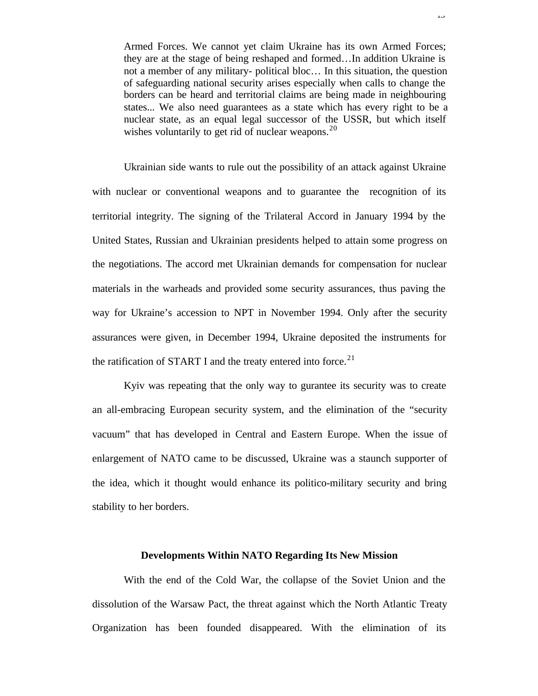Armed Forces. We cannot yet claim Ukraine has its own Armed Forces; they are at the stage of being reshaped and formed…In addition Ukraine is not a member of any military- political bloc… In this situation, the question of safeguarding national security arises especially when calls to change the borders can be heard and territorial claims are being made in neighbouring states... We also need guarantees as a state which has every right to be a nuclear state, as an equal legal successor of the USSR, but which itself wishes voluntarily to get rid of nuclear weapons.<sup>20</sup>

Ukrainian side wants to rule out the possibility of an attack against Ukraine with nuclear or conventional weapons and to guarantee the recognition of its territorial integrity. The signing of the Trilateral Accord in January 1994 by the United States, Russian and Ukrainian presidents helped to attain some progress on the negotiations. The accord met Ukrainian demands for compensation for nuclear materials in the warheads and provided some security assurances, thus paving the way for Ukraine's accession to NPT in November 1994. Only after the security assurances were given, in December 1994, Ukraine deposited the instruments for the ratification of START I and the treaty entered into force.<sup>21</sup>

Kyiv was repeating that the only way to gurantee its security was to create an all-embracing European security system, and the elimination of the "security vacuum" that has developed in Central and Eastern Europe. When the issue of enlargement of NATO came to be discussed, Ukraine was a staunch supporter of the idea, which it thought would enhance its politico-military security and bring stability to her borders.

### **Developments Within NATO Regarding Its New Mission**

With the end of the Cold War, the collapse of the Soviet Union and the dissolution of the Warsaw Pact, the threat against which the North Atlantic Treaty Organization has been founded disappeared. With the elimination of its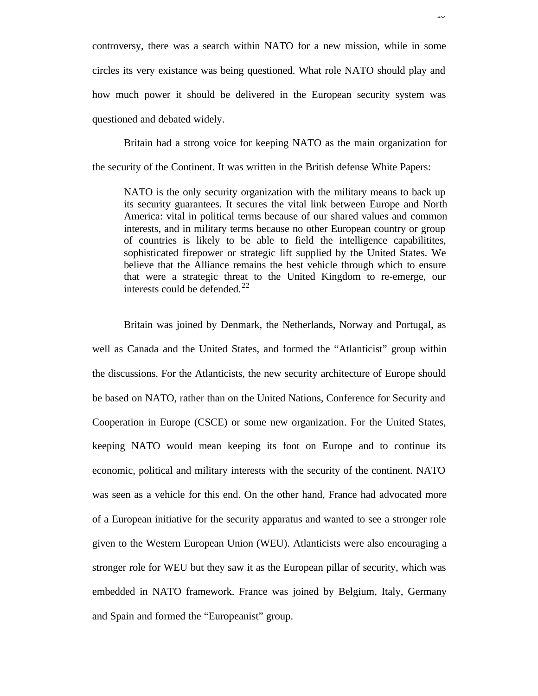controversy, there was a search within NATO for a new mission, while in some circles its very existance was being questioned. What role NATO should play and how much power it should be delivered in the European security system was questioned and debated widely.

Britain had a strong voice for keeping NATO as the main organization for the security of the Continent. It was written in the British defense White Papers:

NATO is the only security organization with the military means to back up its security guarantees. It secures the vital link between Europe and North America: vital in political terms because of our shared values and common interests, and in military terms because no other European country or group of countries is likely to be able to field the intelligence capabilitites, sophisticated firepower or strategic lift supplied by the United States. We believe that the Alliance remains the best vehicle through which to ensure that were a strategic threat to the United Kingdom to re-emerge, our interests could be defended.<sup>22</sup>

Britain was joined by Denmark, the Netherlands, Norway and Portugal, as well as Canada and the United States, and formed the "Atlanticist" group within the discussions. For the Atlanticists, the new security architecture of Europe should be based on NATO, rather than on the United Nations, Conference for Security and Cooperation in Europe (CSCE) or some new organization. For the United States, keeping NATO would mean keeping its foot on Europe and to continue its economic, political and military interests with the security of the continent. NATO was seen as a vehicle for this end. On the other hand, France had advocated more of a European initiative for the security apparatus and wanted to see a stronger role given to the Western European Union (WEU). Atlanticists were also encouraging a stronger role for WEU but they saw it as the European pillar of security, which was embedded in NATO framework. France was joined by Belgium, Italy, Germany and Spain and formed the "Europeanist" group.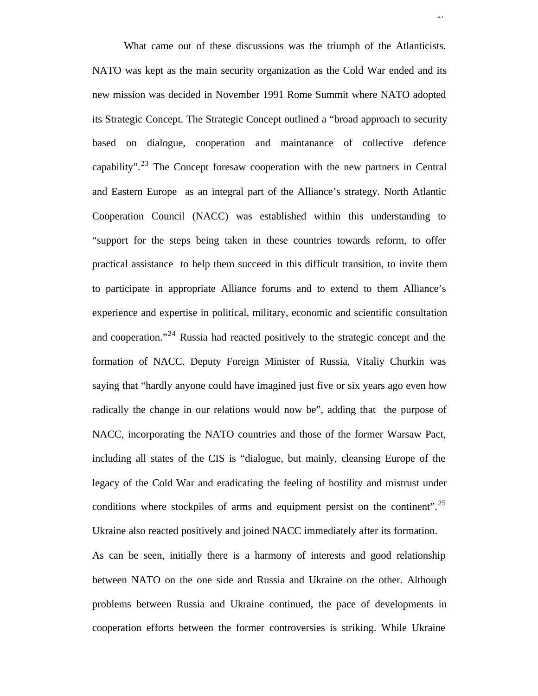What came out of these discussions was the triumph of the Atlanticists. NATO was kept as the main security organization as the Cold War ended and its new mission was decided in November 1991 Rome Summit where NATO adopted its Strategic Concept. The Strategic Concept outlined a "broad approach to security based on dialogue, cooperation and maintanance of collective defence capability".<sup>23</sup> The Concept foresaw cooperation with the new partners in Central and Eastern Europe as an integral part of the Alliance's strategy. North Atlantic Cooperation Council (NACC) was established within this understanding to "support for the steps being taken in these countries towards reform, to offer practical assistance to help them succeed in this difficult transition, to invite them to participate in appropriate Alliance forums and to extend to them Alliance's experience and expertise in political, military, economic and scientific consultation and cooperation."<sup>24</sup> Russia had reacted positively to the strategic concept and the formation of NACC. Deputy Foreign Minister of Russia, Vitaliy Churkin was saying that "hardly anyone could have imagined just five or six years ago even how radically the change in our relations would now be", adding that the purpose of NACC, incorporating the NATO countries and those of the former Warsaw Pact, including all states of the CIS is "dialogue, but mainly, cleansing Europe of the legacy of the Cold War and eradicating the feeling of hostility and mistrust under conditions where stockpiles of arms and equipment persist on the continent".<sup>25</sup> Ukraine also reacted positively and joined NACC immediately after its formation.

 $\overline{1}$ 

As can be seen, initially there is a harmony of interests and good relationship between NATO on the one side and Russia and Ukraine on the other. Although problems between Russia and Ukraine continued, the pace of developments in cooperation efforts between the former controversies is striking. While Ukraine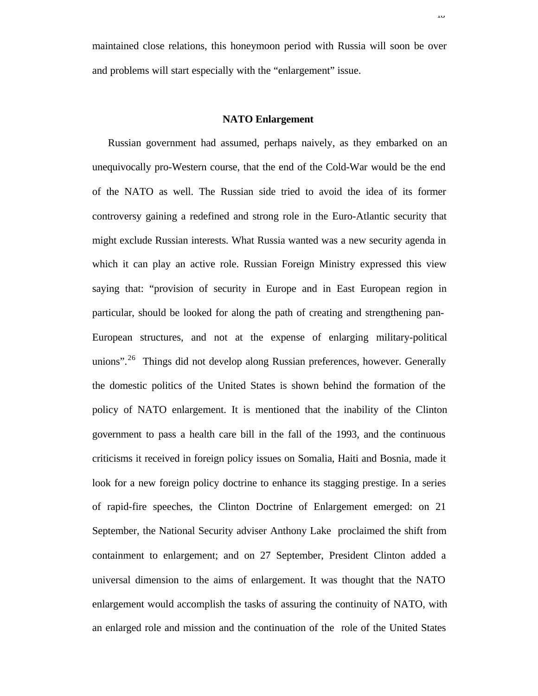maintained close relations, this honeymoon period with Russia will soon be over and problems will start especially with the "enlargement" issue.

### **NATO Enlargement**

Russian government had assumed, perhaps naively, as they embarked on an unequivocally pro-Western course, that the end of the Cold-War would be the end of the NATO as well. The Russian side tried to avoid the idea of its former controversy gaining a redefined and strong role in the Euro-Atlantic security that might exclude Russian interests. What Russia wanted was a new security agenda in which it can play an active role. Russian Foreign Ministry expressed this view saying that: "provision of security in Europe and in East European region in particular, should be looked for along the path of creating and strengthening pan-European structures, and not at the expense of enlarging military-political unions".<sup>26</sup> Things did not develop along Russian preferences, however. Generally the domestic politics of the United States is shown behind the formation of the policy of NATO enlargement. It is mentioned that the inability of the Clinton government to pass a health care bill in the fall of the 1993, and the continuous criticisms it received in foreign policy issues on Somalia, Haiti and Bosnia, made it look for a new foreign policy doctrine to enhance its stagging prestige. In a series of rapid-fire speeches, the Clinton Doctrine of Enlargement emerged: on 21 September, the National Security adviser Anthony Lake proclaimed the shift from containment to enlargement; and on 27 September, President Clinton added a universal dimension to the aims of enlargement. It was thought that the NATO enlargement would accomplish the tasks of assuring the continuity of NATO, with an enlarged role and mission and the continuation of the role of the United States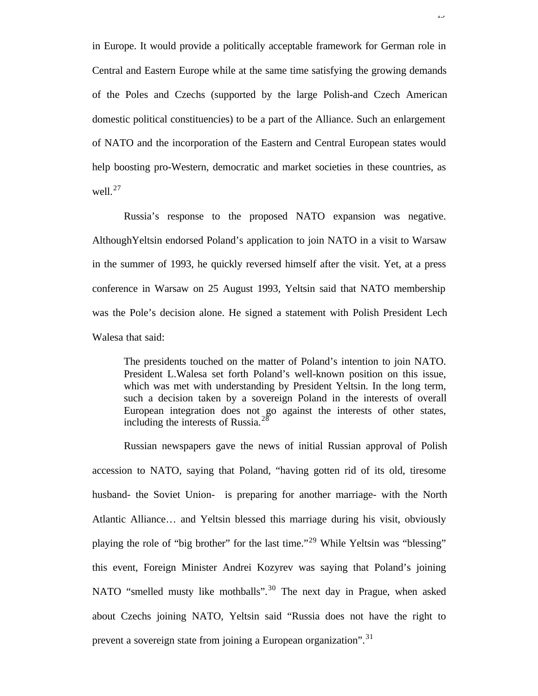in Europe. It would provide a politically acceptable framework for German role in Central and Eastern Europe while at the same time satisfying the growing demands of the Poles and Czechs (supported by the large Polish-and Czech American domestic political constituencies) to be a part of the Alliance. Such an enlargement of NATO and the incorporation of the Eastern and Central European states would help boosting pro-Western, democratic and market societies in these countries, as well. $^{27}$ 

Russia's response to the proposed NATO expansion was negative. AlthoughYeltsin endorsed Poland's application to join NATO in a visit to Warsaw in the summer of 1993, he quickly reversed himself after the visit. Yet, at a press conference in Warsaw on 25 August 1993, Yeltsin said that NATO membership was the Pole's decision alone. He signed a statement with Polish President Lech Walesa that said:

The presidents touched on the matter of Poland's intention to join NATO. President L.Walesa set forth Poland's well-known position on this issue, which was met with understanding by President Yeltsin. In the long term, such a decision taken by a sovereign Poland in the interests of overall European integration does not go against the interests of other states, including the interests of Russia. $^{28}$ 

Russian newspapers gave the news of initial Russian approval of Polish accession to NATO, saying that Poland, "having gotten rid of its old, tiresome husband- the Soviet Union- is preparing for another marriage- with the North Atlantic Alliance… and Yeltsin blessed this marriage during his visit, obviously playing the role of "big brother" for the last time."<sup>29</sup> While Yeltsin was "blessing" this event, Foreign Minister Andrei Kozyrev was saying that Poland's joining NATO "smelled musty like mothballs".<sup>30</sup> The next day in Prague, when asked about Czechs joining NATO, Yeltsin said "Russia does not have the right to prevent a sovereign state from joining a European organization".<sup>31</sup>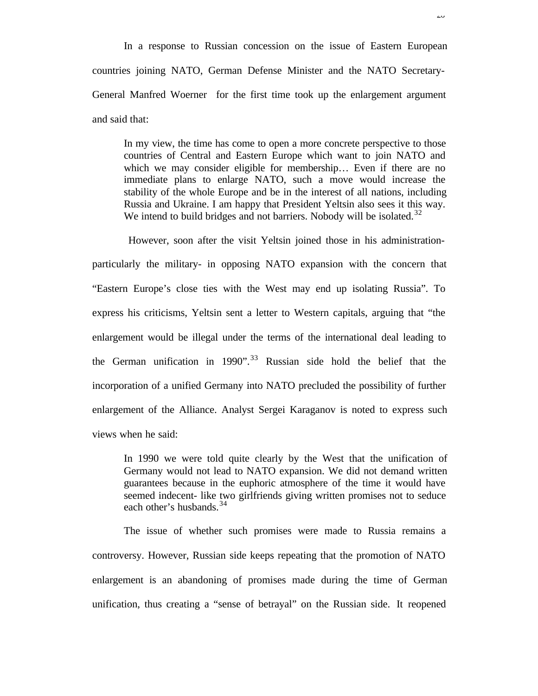In a response to Russian concession on the issue of Eastern European countries joining NATO, German Defense Minister and the NATO Secretary-General Manfred Woerner for the first time took up the enlargement argument and said that:

In my view, the time has come to open a more concrete perspective to those countries of Central and Eastern Europe which want to join NATO and which we may consider eligible for membership... Even if there are no immediate plans to enlarge NATO, such a move would increase the stability of the whole Europe and be in the interest of all nations, including Russia and Ukraine. I am happy that President Yeltsin also sees it this way. We intend to build bridges and not barriers. Nobody will be isolated.<sup>32</sup>

 However, soon after the visit Yeltsin joined those in his administrationparticularly the military- in opposing NATO expansion with the concern that "Eastern Europe's close ties with the West may end up isolating Russia". To express his criticisms, Yeltsin sent a letter to Western capitals, arguing that "the enlargement would be illegal under the terms of the international deal leading to the German unification in 1990".<sup>33</sup> Russian side hold the belief that the incorporation of a unified Germany into NATO precluded the possibility of further enlargement of the Alliance. Analyst Sergei Karaganov is noted to express such views when he said:

In 1990 we were told quite clearly by the West that the unification of Germany would not lead to NATO expansion. We did not demand written guarantees because in the euphoric atmosphere of the time it would have seemed indecent- like two girlfriends giving written promises not to seduce each other's husbands.  $34$ 

The issue of whether such promises were made to Russia remains a controversy. However, Russian side keeps repeating that the promotion of NATO enlargement is an abandoning of promises made during the time of German unification, thus creating a "sense of betrayal" on the Russian side. It reopened

 $\overline{\mathcal{L}}$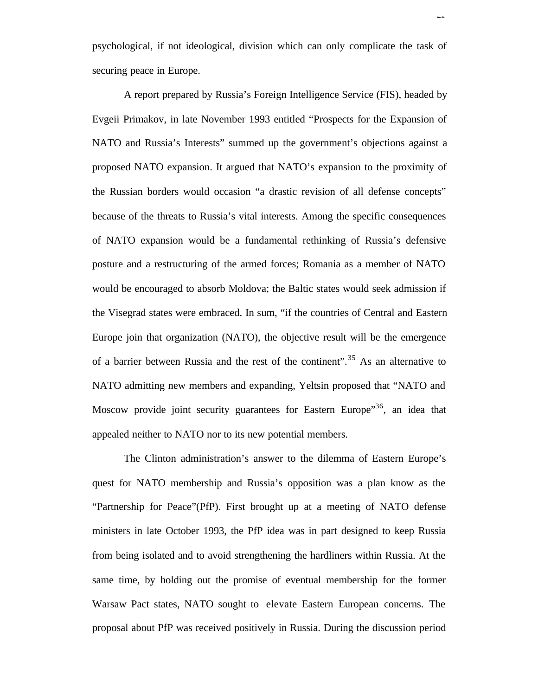psychological, if not ideological, division which can only complicate the task of securing peace in Europe.

 $\overline{21}$ 

A report prepared by Russia's Foreign Intelligence Service (FIS), headed by Evgeii Primakov, in late November 1993 entitled "Prospects for the Expansion of NATO and Russia's Interests" summed up the government's objections against a proposed NATO expansion. It argued that NATO's expansion to the proximity of the Russian borders would occasion "a drastic revision of all defense concepts" because of the threats to Russia's vital interests. Among the specific consequences of NATO expansion would be a fundamental rethinking of Russia's defensive posture and a restructuring of the armed forces; Romania as a member of NATO would be encouraged to absorb Moldova; the Baltic states would seek admission if the Visegrad states were embraced. In sum, "if the countries of Central and Eastern Europe join that organization (NATO), the objective result will be the emergence of a barrier between Russia and the rest of the continent".<sup>35</sup> As an alternative to NATO admitting new members and expanding, Yeltsin proposed that "NATO and Moscow provide joint security guarantees for Eastern Europe<sup>35</sup>, an idea that appealed neither to NATO nor to its new potential members.

The Clinton administration's answer to the dilemma of Eastern Europe's quest for NATO membership and Russia's opposition was a plan know as the "Partnership for Peace"(PfP). First brought up at a meeting of NATO defense ministers in late October 1993, the PfP idea was in part designed to keep Russia from being isolated and to avoid strengthening the hardliners within Russia. At the same time, by holding out the promise of eventual membership for the former Warsaw Pact states, NATO sought to elevate Eastern European concerns. The proposal about PfP was received positively in Russia. During the discussion period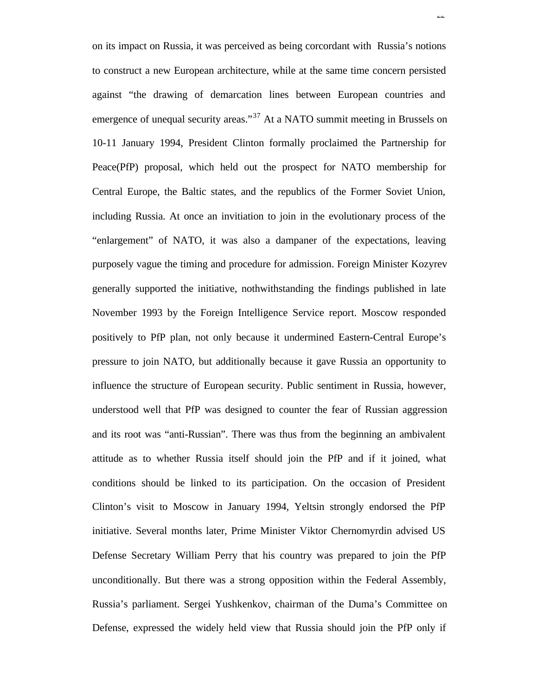on its impact on Russia, it was perceived as being corcordant with Russia's notions to construct a new European architecture, while at the same time concern persisted against "the drawing of demarcation lines between European countries and emergence of unequal security areas."<sup>37</sup> At a NATO summit meeting in Brussels on 10-11 January 1994, President Clinton formally proclaimed the Partnership for Peace(PfP) proposal, which held out the prospect for NATO membership for Central Europe, the Baltic states, and the republics of the Former Soviet Union, including Russia. At once an invitiation to join in the evolutionary process of the "enlargement" of NATO, it was also a dampaner of the expectations, leaving purposely vague the timing and procedure for admission. Foreign Minister Kozyrev generally supported the initiative, nothwithstanding the findings published in late November 1993 by the Foreign Intelligence Service report. Moscow responded positively to PfP plan, not only because it undermined Eastern-Central Europe's pressure to join NATO, but additionally because it gave Russia an opportunity to influence the structure of European security. Public sentiment in Russia, however, understood well that PfP was designed to counter the fear of Russian aggression and its root was "anti-Russian". There was thus from the beginning an ambivalent attitude as to whether Russia itself should join the PfP and if it joined, what conditions should be linked to its participation. On the occasion of President Clinton's visit to Moscow in January 1994, Yeltsin strongly endorsed the PfP initiative. Several months later, Prime Minister Viktor Chernomyrdin advised US Defense Secretary William Perry that his country was prepared to join the PfP unconditionally. But there was a strong opposition within the Federal Assembly, Russia's parliament. Sergei Yushkenkov, chairman of the Duma's Committee on Defense, expressed the widely held view that Russia should join the PfP only if

22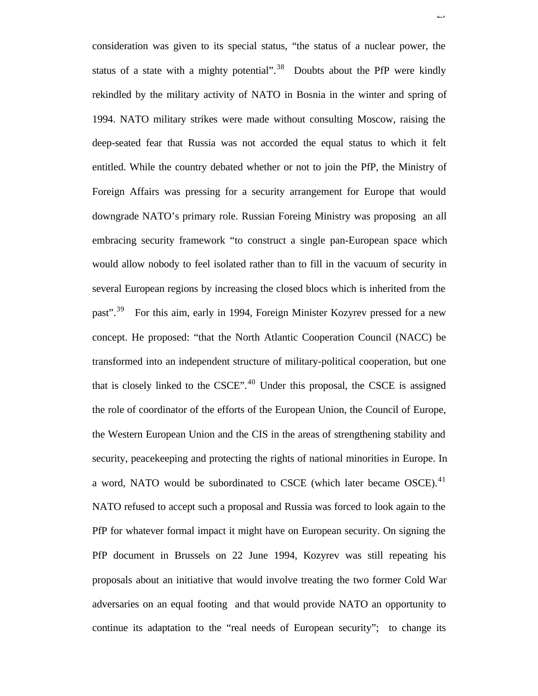consideration was given to its special status, "the status of a nuclear power, the status of a state with a mighty potential".<sup>38</sup> Doubts about the PfP were kindly rekindled by the military activity of NATO in Bosnia in the winter and spring of 1994. NATO military strikes were made without consulting Moscow, raising the deep-seated fear that Russia was not accorded the equal status to which it felt entitled. While the country debated whether or not to join the PfP, the Ministry of Foreign Affairs was pressing for a security arrangement for Europe that would downgrade NATO's primary role. Russian Foreing Ministry was proposing an all embracing security framework "to construct a single pan-European space which would allow nobody to feel isolated rather than to fill in the vacuum of security in several European regions by increasing the closed blocs which is inherited from the past".<sup>39</sup> For this aim, early in 1994, Foreign Minister Kozyrev pressed for a new concept. He proposed: "that the North Atlantic Cooperation Council (NACC) be transformed into an independent structure of military-political cooperation, but one that is closely linked to the  $CSCE$ <sup> $40$ </sup> Under this proposal, the CSCE is assigned the role of coordinator of the efforts of the European Union, the Council of Europe, the Western European Union and the CIS in the areas of strengthening stability and security, peacekeeping and protecting the rights of national minorities in Europe. In a word, NATO would be subordinated to CSCE (which later became OSCE).<sup>41</sup> NATO refused to accept such a proposal and Russia was forced to look again to the PfP for whatever formal impact it might have on European security. On signing the PfP document in Brussels on 22 June 1994, Kozyrev was still repeating his proposals about an initiative that would involve treating the two former Cold War adversaries on an equal footing and that would provide NATO an opportunity to continue its adaptation to the "real needs of European security"; to change its

ن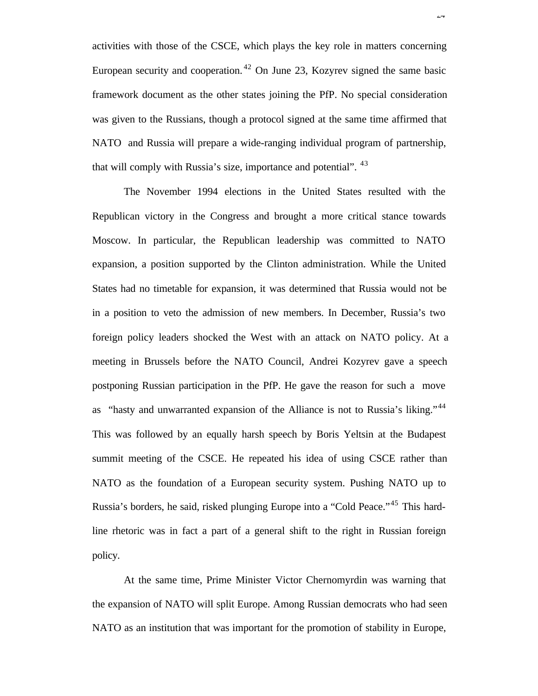activities with those of the CSCE, which plays the key role in matters concerning European security and cooperation. <sup>42</sup> On June 23, Kozyrev signed the same basic framework document as the other states joining the PfP. No special consideration was given to the Russians, though a protocol signed at the same time affirmed that NATO and Russia will prepare a wide-ranging individual program of partnership, that will comply with Russia's size, importance and potential". <sup>43</sup>

The November 1994 elections in the United States resulted with the Republican victory in the Congress and brought a more critical stance towards Moscow. In particular, the Republican leadership was committed to NATO expansion, a position supported by the Clinton administration. While the United States had no timetable for expansion, it was determined that Russia would not be in a position to veto the admission of new members. In December, Russia's two foreign policy leaders shocked the West with an attack on NATO policy. At a meeting in Brussels before the NATO Council, Andrei Kozyrev gave a speech postponing Russian participation in the PfP. He gave the reason for such a move as "hasty and unwarranted expansion of the Alliance is not to Russia's liking."<sup>44</sup> This was followed by an equally harsh speech by Boris Yeltsin at the Budapest summit meeting of the CSCE. He repeated his idea of using CSCE rather than NATO as the foundation of a European security system. Pushing NATO up to Russia's borders, he said, risked plunging Europe into a "Cold Peace."<sup>45</sup> This hardline rhetoric was in fact a part of a general shift to the right in Russian foreign policy.

At the same time, Prime Minister Victor Chernomyrdin was warning that the expansion of NATO will split Europe. Among Russian democrats who had seen NATO as an institution that was important for the promotion of stability in Europe,

 $\overline{a}$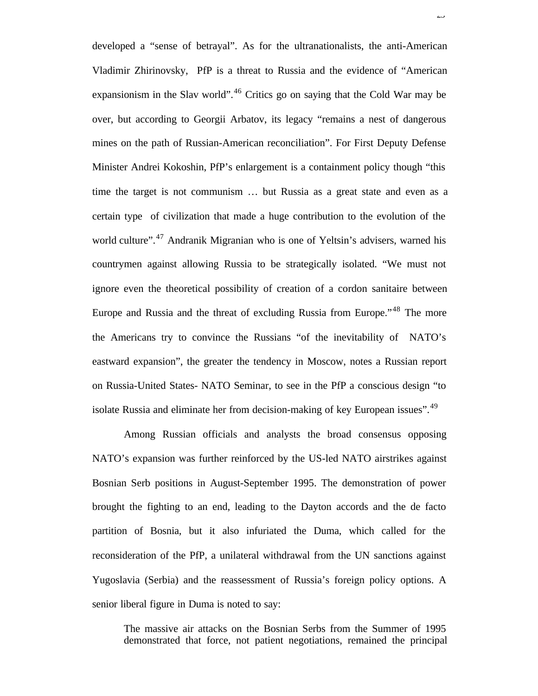developed a "sense of betrayal". As for the ultranationalists, the anti-American Vladimir Zhirinovsky, PfP is a threat to Russia and the evidence of "American expansionism in the Slav world".<sup>46</sup> Critics go on saying that the Cold War may be over, but according to Georgii Arbatov, its legacy "remains a nest of dangerous mines on the path of Russian-American reconciliation". For First Deputy Defense Minister Andrei Kokoshin, PfP's enlargement is a containment policy though "this time the target is not communism … but Russia as a great state and even as a certain type of civilization that made a huge contribution to the evolution of the world culture".<sup>47</sup> Andranik Migranian who is one of Yeltsin's advisers, warned his countrymen against allowing Russia to be strategically isolated. "We must not ignore even the theoretical possibility of creation of a cordon sanitaire between Europe and Russia and the threat of excluding Russia from Europe."<sup>48</sup> The more the Americans try to convince the Russians "of the inevitability of NATO's eastward expansion", the greater the tendency in Moscow, notes a Russian report on Russia-United States- NATO Seminar, to see in the PfP a conscious design "to isolate Russia and eliminate her from decision-making of key European issues".<sup>49</sup>

 $\overline{\mathcal{L}}$ 

Among Russian officials and analysts the broad consensus opposing NATO's expansion was further reinforced by the US-led NATO airstrikes against Bosnian Serb positions in August-September 1995. The demonstration of power brought the fighting to an end, leading to the Dayton accords and the de facto partition of Bosnia, but it also infuriated the Duma, which called for the reconsideration of the PfP, a unilateral withdrawal from the UN sanctions against Yugoslavia (Serbia) and the reassessment of Russia's foreign policy options. A senior liberal figure in Duma is noted to say:

The massive air attacks on the Bosnian Serbs from the Summer of 1995 demonstrated that force, not patient negotiations, remained the principal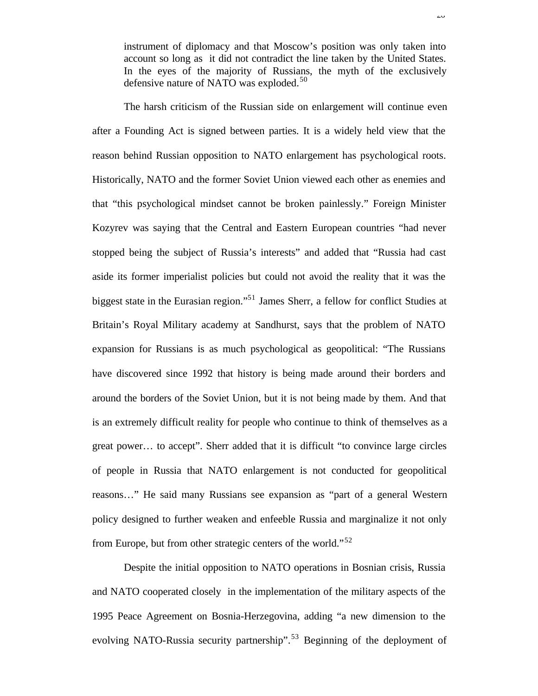instrument of diplomacy and that Moscow's position was only taken into account so long as it did not contradict the line taken by the United States. In the eyes of the majority of Russians, the myth of the exclusively defensive nature of NATO was exploded.<sup>50</sup>

The harsh criticism of the Russian side on enlargement will continue even after a Founding Act is signed between parties. It is a widely held view that the reason behind Russian opposition to NATO enlargement has psychological roots. Historically, NATO and the former Soviet Union viewed each other as enemies and that "this psychological mindset cannot be broken painlessly." Foreign Minister Kozyrev was saying that the Central and Eastern European countries "had never stopped being the subject of Russia's interests" and added that "Russia had cast aside its former imperialist policies but could not avoid the reality that it was the biggest state in the Eurasian region."<sup>51</sup> James Sherr, a fellow for conflict Studies at Britain's Royal Military academy at Sandhurst, says that the problem of NATO expansion for Russians is as much psychological as geopolitical: "The Russians have discovered since 1992 that history is being made around their borders and around the borders of the Soviet Union, but it is not being made by them. And that is an extremely difficult reality for people who continue to think of themselves as a great power… to accept". Sherr added that it is difficult "to convince large circles of people in Russia that NATO enlargement is not conducted for geopolitical reasons…" He said many Russians see expansion as "part of a general Western policy designed to further weaken and enfeeble Russia and marginalize it not only from Europe, but from other strategic centers of the world."<sup>52</sup>

Despite the initial opposition to NATO operations in Bosnian crisis, Russia and NATO cooperated closely in the implementation of the military aspects of the 1995 Peace Agreement on Bosnia-Herzegovina, adding "a new dimension to the evolving NATO-Russia security partnership".<sup>53</sup> Beginning of the deployment of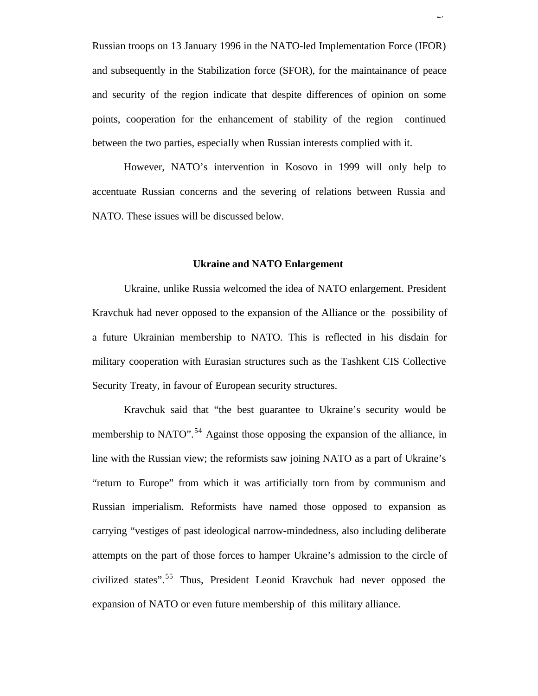Russian troops on 13 January 1996 in the NATO-led Implementation Force (IFOR) and subsequently in the Stabilization force (SFOR), for the maintainance of peace and security of the region indicate that despite differences of opinion on some points, cooperation for the enhancement of stability of the region continued between the two parties, especially when Russian interests complied with it.

 $\overline{27}$ 

However, NATO's intervention in Kosovo in 1999 will only help to accentuate Russian concerns and the severing of relations between Russia and NATO. These issues will be discussed below.

#### **Ukraine and NATO Enlargement**

Ukraine, unlike Russia welcomed the idea of NATO enlargement. President Kravchuk had never opposed to the expansion of the Alliance or the possibility of a future Ukrainian membership to NATO. This is reflected in his disdain for military cooperation with Eurasian structures such as the Tashkent CIS Collective Security Treaty, in favour of European security structures.

Kravchuk said that "the best guarantee to Ukraine's security would be membership to NATO".<sup>54</sup> Against those opposing the expansion of the alliance, in line with the Russian view; the reformists saw joining NATO as a part of Ukraine's "return to Europe" from which it was artificially torn from by communism and Russian imperialism. Reformists have named those opposed to expansion as carrying "vestiges of past ideological narrow-mindedness, also including deliberate attempts on the part of those forces to hamper Ukraine's admission to the circle of civilized states".<sup>55</sup> Thus, President Leonid Kravchuk had never opposed the expansion of NATO or even future membership of this military alliance.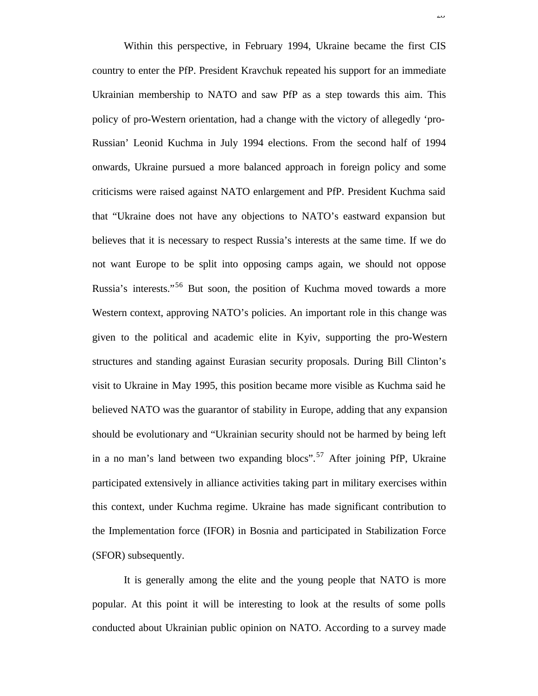Within this perspective, in February 1994, Ukraine became the first CIS country to enter the PfP. President Kravchuk repeated his support for an immediate Ukrainian membership to NATO and saw PfP as a step towards this aim. This policy of pro-Western orientation, had a change with the victory of allegedly 'pro-Russian' Leonid Kuchma in July 1994 elections. From the second half of 1994 onwards, Ukraine pursued a more balanced approach in foreign policy and some criticisms were raised against NATO enlargement and PfP. President Kuchma said that "Ukraine does not have any objections to NATO's eastward expansion but believes that it is necessary to respect Russia's interests at the same time. If we do not want Europe to be split into opposing camps again, we should not oppose Russia's interests."<sup>56</sup> But soon, the position of Kuchma moved towards a more Western context, approving NATO's policies. An important role in this change was given to the political and academic elite in Kyiv, supporting the pro-Western structures and standing against Eurasian security proposals. During Bill Clinton's visit to Ukraine in May 1995, this position became more visible as Kuchma said he believed NATO was the guarantor of stability in Europe, adding that any expansion should be evolutionary and "Ukrainian security should not be harmed by being left in a no man's land between two expanding blocs".<sup>57</sup> After joining PfP, Ukraine participated extensively in alliance activities taking part in military exercises within this context, under Kuchma regime. Ukraine has made significant contribution to the Implementation force (IFOR) in Bosnia and participated in Stabilization Force (SFOR) subsequently.

 $\overline{\mathcal{L}}$ 

It is generally among the elite and the young people that NATO is more popular. At this point it will be interesting to look at the results of some polls conducted about Ukrainian public opinion on NATO. According to a survey made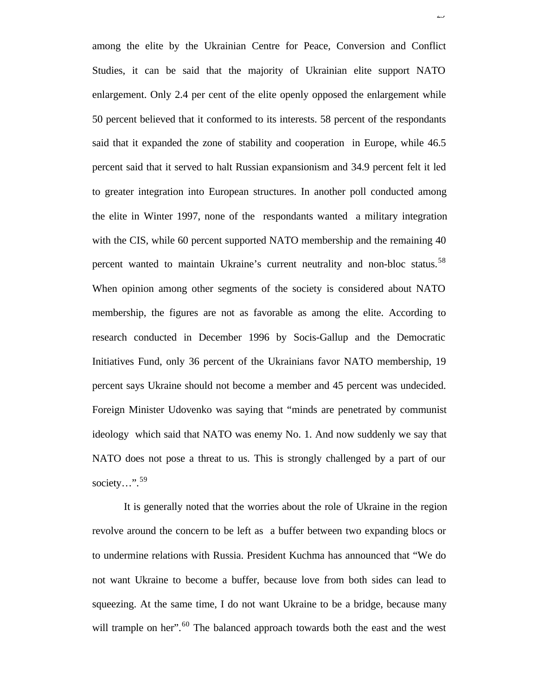among the elite by the Ukrainian Centre for Peace, Conversion and Conflict Studies, it can be said that the majority of Ukrainian elite support NATO enlargement. Only 2.4 per cent of the elite openly opposed the enlargement while 50 percent believed that it conformed to its interests. 58 percent of the respondants said that it expanded the zone of stability and cooperation in Europe, while 46.5 percent said that it served to halt Russian expansionism and 34.9 percent felt it led to greater integration into European structures. In another poll conducted among the elite in Winter 1997, none of the respondants wanted a military integration with the CIS, while 60 percent supported NATO membership and the remaining 40 percent wanted to maintain Ukraine's current neutrality and non-bloc status.<sup>58</sup> When opinion among other segments of the society is considered about NATO membership, the figures are not as favorable as among the elite. According to research conducted in December 1996 by Socis-Gallup and the Democratic Initiatives Fund, only 36 percent of the Ukrainians favor NATO membership, 19 percent says Ukraine should not become a member and 45 percent was undecided. Foreign Minister Udovenko was saying that "minds are penetrated by communist ideology which said that NATO was enemy No. 1. And now suddenly we say that NATO does not pose a threat to us. This is strongly challenged by a part of our society...".<sup>59</sup>

29

It is generally noted that the worries about the role of Ukraine in the region revolve around the concern to be left as a buffer between two expanding blocs or to undermine relations with Russia. President Kuchma has announced that "We do not want Ukraine to become a buffer, because love from both sides can lead to squeezing. At the same time, I do not want Ukraine to be a bridge, because many will trample on her".<sup>60</sup> The balanced approach towards both the east and the west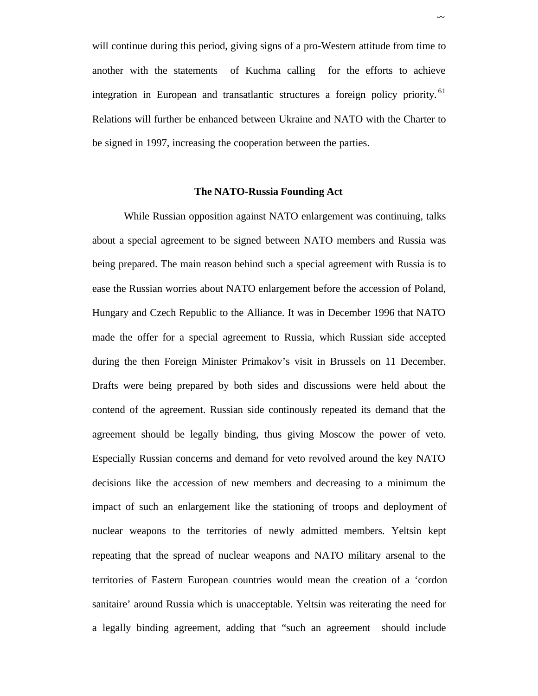will continue during this period, giving signs of a pro-Western attitude from time to another with the statements of Kuchma calling for the efforts to achieve integration in European and transatlantic structures a foreign policy priority.<sup>61</sup> Relations will further be enhanced between Ukraine and NATO with the Charter to be signed in 1997, increasing the cooperation between the parties.

30

#### **The NATO-Russia Founding Act**

While Russian opposition against NATO enlargement was continuing, talks about a special agreement to be signed between NATO members and Russia was being prepared. The main reason behind such a special agreement with Russia is to ease the Russian worries about NATO enlargement before the accession of Poland, Hungary and Czech Republic to the Alliance. It was in December 1996 that NATO made the offer for a special agreement to Russia, which Russian side accepted during the then Foreign Minister Primakov's visit in Brussels on 11 December. Drafts were being prepared by both sides and discussions were held about the contend of the agreement. Russian side continously repeated its demand that the agreement should be legally binding, thus giving Moscow the power of veto. Especially Russian concerns and demand for veto revolved around the key NATO decisions like the accession of new members and decreasing to a minimum the impact of such an enlargement like the stationing of troops and deployment of nuclear weapons to the territories of newly admitted members. Yeltsin kept repeating that the spread of nuclear weapons and NATO military arsenal to the territories of Eastern European countries would mean the creation of a 'cordon sanitaire' around Russia which is unacceptable. Yeltsin was reiterating the need for a legally binding agreement, adding that "such an agreement should include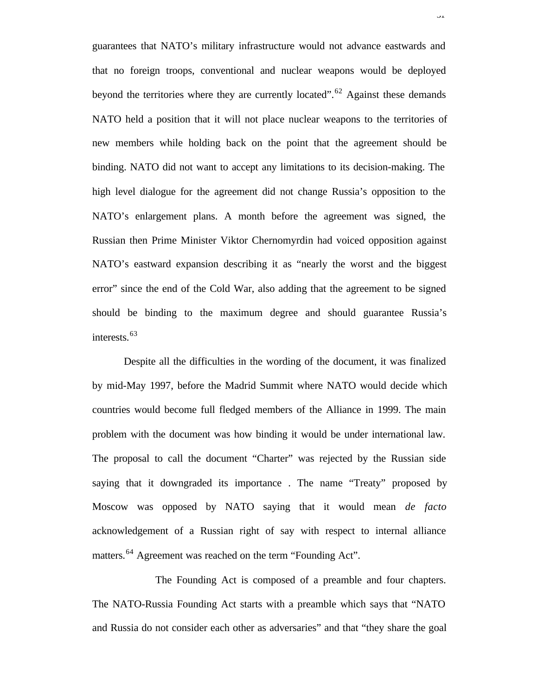guarantees that NATO's military infrastructure would not advance eastwards and that no foreign troops, conventional and nuclear weapons would be deployed beyond the territories where they are currently located".<sup>62</sup> Against these demands NATO held a position that it will not place nuclear weapons to the territories of new members while holding back on the point that the agreement should be binding. NATO did not want to accept any limitations to its decision-making. The high level dialogue for the agreement did not change Russia's opposition to the NATO's enlargement plans. A month before the agreement was signed, the Russian then Prime Minister Viktor Chernomyrdin had voiced opposition against NATO's eastward expansion describing it as "nearly the worst and the biggest error" since the end of the Cold War, also adding that the agreement to be signed should be binding to the maximum degree and should guarantee Russia's interests.<sup>63</sup>

 $\overline{J}$ <sup>1</sup>

Despite all the difficulties in the wording of the document, it was finalized by mid-May 1997, before the Madrid Summit where NATO would decide which countries would become full fledged members of the Alliance in 1999. The main problem with the document was how binding it would be under international law. The proposal to call the document "Charter" was rejected by the Russian side saying that it downgraded its importance . The name "Treaty" proposed by Moscow was opposed by NATO saying that it would mean *de facto* acknowledgement of a Russian right of say with respect to internal alliance matters.<sup>64</sup> Agreement was reached on the term "Founding Act".

The Founding Act is composed of a preamble and four chapters. The NATO-Russia Founding Act starts with a preamble which says that "NATO and Russia do not consider each other as adversaries" and that "they share the goal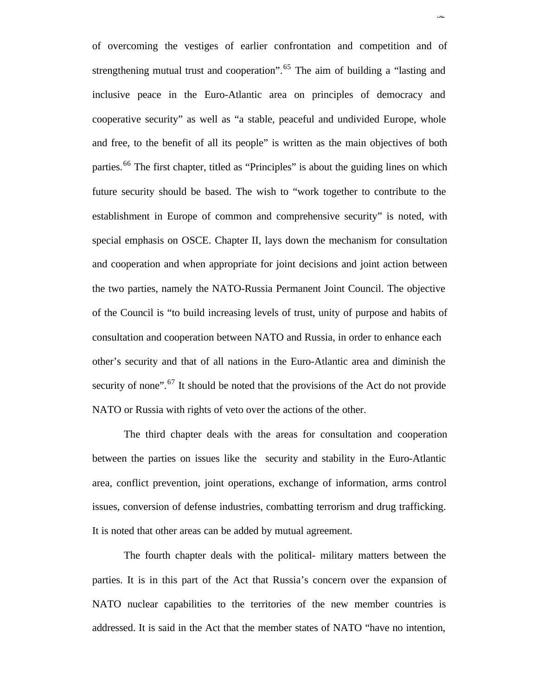of overcoming the vestiges of earlier confrontation and competition and of strengthening mutual trust and cooperation".<sup>65</sup> The aim of building a "lasting and inclusive peace in the Euro-Atlantic area on principles of democracy and cooperative security" as well as "a stable, peaceful and undivided Europe, whole and free, to the benefit of all its people" is written as the main objectives of both parties.<sup>66</sup> The first chapter, titled as "Principles" is about the guiding lines on which future security should be based. The wish to "work together to contribute to the establishment in Europe of common and comprehensive security" is noted, with special emphasis on OSCE. Chapter II, lays down the mechanism for consultation and cooperation and when appropriate for joint decisions and joint action between the two parties, namely the NATO-Russia Permanent Joint Council. The objective of the Council is "to build increasing levels of trust, unity of purpose and habits of consultation and cooperation between NATO and Russia, in order to enhance each other's security and that of all nations in the Euro-Atlantic area and diminish the security of none".<sup>67</sup> It should be noted that the provisions of the Act do not provide NATO or Russia with rights of veto over the actions of the other.

32

The third chapter deals with the areas for consultation and cooperation between the parties on issues like the security and stability in the Euro-Atlantic area, conflict prevention, joint operations, exchange of information, arms control issues, conversion of defense industries, combatting terrorism and drug trafficking. It is noted that other areas can be added by mutual agreement.

The fourth chapter deals with the political- military matters between the parties. It is in this part of the Act that Russia's concern over the expansion of NATO nuclear capabilities to the territories of the new member countries is addressed. It is said in the Act that the member states of NATO "have no intention,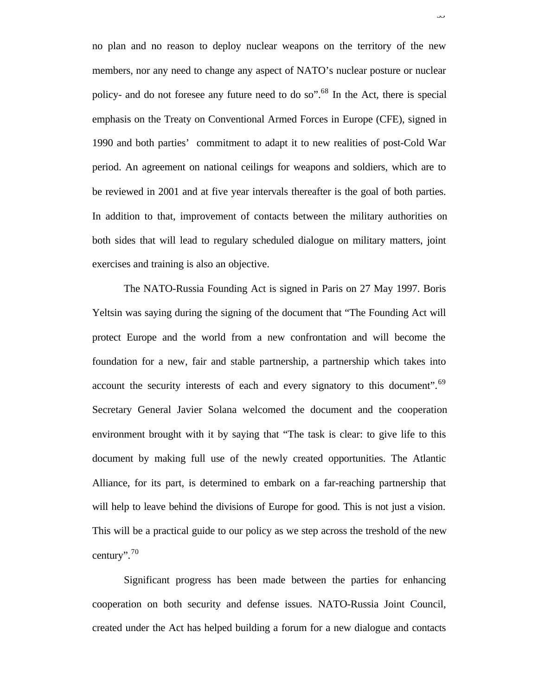no plan and no reason to deploy nuclear weapons on the territory of the new members, nor any need to change any aspect of NATO's nuclear posture or nuclear policy- and do not foresee any future need to do so".<sup>68</sup> In the Act, there is special emphasis on the Treaty on Conventional Armed Forces in Europe (CFE), signed in 1990 and both parties' commitment to adapt it to new realities of post-Cold War period. An agreement on national ceilings for weapons and soldiers, which are to be reviewed in 2001 and at five year intervals thereafter is the goal of both parties. In addition to that, improvement of contacts between the military authorities on both sides that will lead to regulary scheduled dialogue on military matters, joint exercises and training is also an objective.

رر

The NATO-Russia Founding Act is signed in Paris on 27 May 1997. Boris Yeltsin was saying during the signing of the document that "The Founding Act will protect Europe and the world from a new confrontation and will become the foundation for a new, fair and stable partnership, a partnership which takes into account the security interests of each and every signatory to this document".<sup>69</sup> Secretary General Javier Solana welcomed the document and the cooperation environment brought with it by saying that "The task is clear: to give life to this document by making full use of the newly created opportunities. The Atlantic Alliance, for its part, is determined to embark on a far-reaching partnership that will help to leave behind the divisions of Europe for good. This is not just a vision. This will be a practical guide to our policy as we step across the treshold of the new century". $70$ 

Significant progress has been made between the parties for enhancing cooperation on both security and defense issues. NATO-Russia Joint Council, created under the Act has helped building a forum for a new dialogue and contacts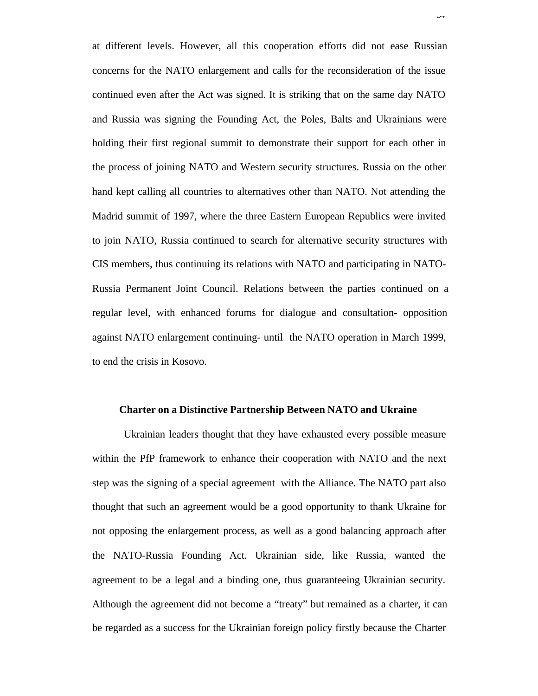at different levels. However, all this cooperation efforts did not ease Russian concerns for the NATO enlargement and calls for the reconsideration of the issue continued even after the Act was signed. It is striking that on the same day NATO and Russia was signing the Founding Act, the Poles, Balts and Ukrainians were holding their first regional summit to demonstrate their support for each other in the process of joining NATO and Western security structures. Russia on the other hand kept calling all countries to alternatives other than NATO. Not attending the Madrid summit of 1997, where the three Eastern European Republics were invited to join NATO, Russia continued to search for alternative security structures with CIS members, thus continuing its relations with NATO and participating in NATO-Russia Permanent Joint Council. Relations between the parties continued on a regular level, with enhanced forums for dialogue and consultation- opposition against NATO enlargement continuing- until the NATO operation in March 1999, to end the crisis in Kosovo.

.<br>۳

#### **Charter on a Distinctive Partnership Between NATO and Ukraine**

Ukrainian leaders thought that they have exhausted every possible measure within the PfP framework to enhance their cooperation with NATO and the next step was the signing of a special agreement with the Alliance. The NATO part also thought that such an agreement would be a good opportunity to thank Ukraine for not opposing the enlargement process, as well as a good balancing approach after the NATO-Russia Founding Act. Ukrainian side, like Russia, wanted the agreement to be a legal and a binding one, thus guaranteeing Ukrainian security. Although the agreement did not become a "treaty" but remained as a charter, it can be regarded as a success for the Ukrainian foreign policy firstly because the Charter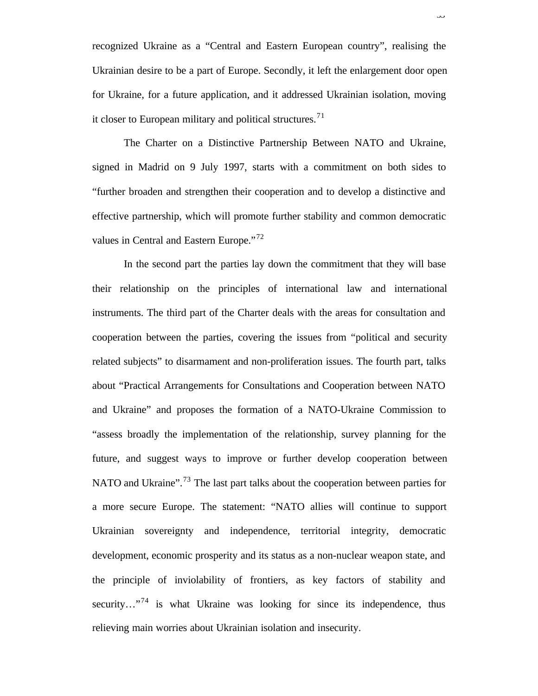recognized Ukraine as a "Central and Eastern European country", realising the Ukrainian desire to be a part of Europe. Secondly, it left the enlargement door open for Ukraine, for a future application, and it addressed Ukrainian isolation, moving it closer to European military and political structures.<sup>71</sup>

The Charter on a Distinctive Partnership Between NATO and Ukraine, signed in Madrid on 9 July 1997, starts with a commitment on both sides to "further broaden and strengthen their cooperation and to develop a distinctive and effective partnership, which will promote further stability and common democratic values in Central and Eastern Europe."<sup>72</sup>

In the second part the parties lay down the commitment that they will base their relationship on the principles of international law and international instruments. The third part of the Charter deals with the areas for consultation and cooperation between the parties, covering the issues from "political and security related subjects" to disarmament and non-proliferation issues. The fourth part, talks about "Practical Arrangements for Consultations and Cooperation between NATO and Ukraine" and proposes the formation of a NATO-Ukraine Commission to "assess broadly the implementation of the relationship, survey planning for the future, and suggest ways to improve or further develop cooperation between NATO and Ukraine".<sup>73</sup> The last part talks about the cooperation between parties for a more secure Europe. The statement: "NATO allies will continue to support Ukrainian sovereignty and independence, territorial integrity, democratic development, economic prosperity and its status as a non-nuclear weapon state, and the principle of inviolability of frontiers, as key factors of stability and security…"<sup>74</sup> is what Ukraine was looking for since its independence, thus relieving main worries about Ukrainian isolation and insecurity.

رر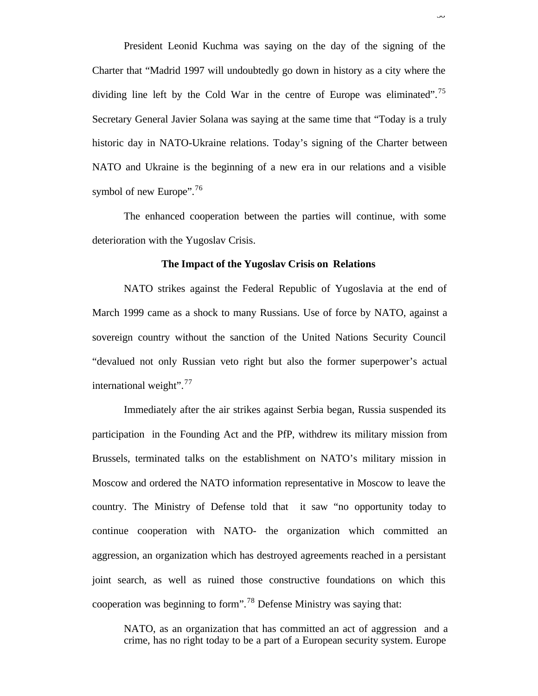President Leonid Kuchma was saying on the day of the signing of the Charter that "Madrid 1997 will undoubtedly go down in history as a city where the dividing line left by the Cold War in the centre of Europe was eliminated".<sup>75</sup> Secretary General Javier Solana was saying at the same time that "Today is a truly historic day in NATO-Ukraine relations. Today's signing of the Charter between NATO and Ukraine is the beginning of a new era in our relations and a visible symbol of new Europe".<sup>76</sup>

The enhanced cooperation between the parties will continue, with some deterioration with the Yugoslav Crisis.

#### **The Impact of the Yugoslav Crisis on Relations**

NATO strikes against the Federal Republic of Yugoslavia at the end of March 1999 came as a shock to many Russians. Use of force by NATO, against a sovereign country without the sanction of the United Nations Security Council "devalued not only Russian veto right but also the former superpower's actual international weight".<sup>77</sup>

Immediately after the air strikes against Serbia began, Russia suspended its participation in the Founding Act and the PfP, withdrew its military mission from Brussels, terminated talks on the establishment on NATO's military mission in Moscow and ordered the NATO information representative in Moscow to leave the country. The Ministry of Defense told that it saw "no opportunity today to continue cooperation with NATO- the organization which committed an aggression, an organization which has destroyed agreements reached in a persistant joint search, as well as ruined those constructive foundations on which this cooperation was beginning to form".<sup>78</sup> Defense Ministry was saying that:

NATO, as an organization that has committed an act of aggression and a crime, has no right today to be a part of a European security system. Europe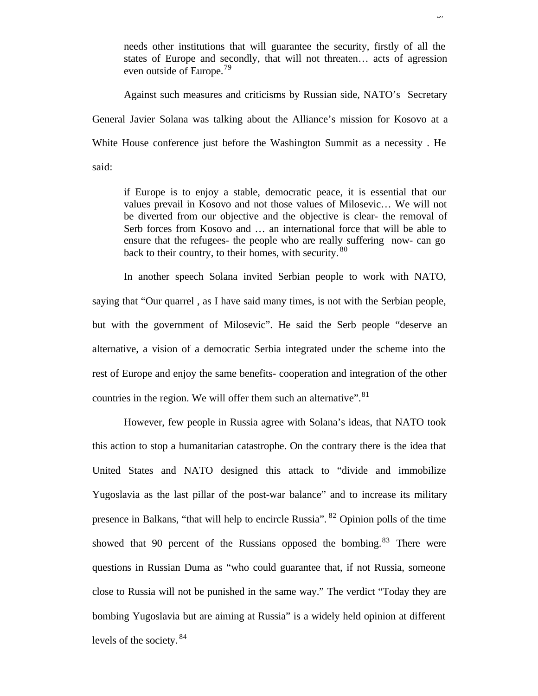needs other institutions that will guarantee the security, firstly of all the states of Europe and secondly, that will not threaten… acts of agression even outside of Europe.<sup>79</sup>

37

Against such measures and criticisms by Russian side, NATO's Secretary General Javier Solana was talking about the Alliance's mission for Kosovo at a White House conference just before the Washington Summit as a necessity . He said:

if Europe is to enjoy a stable, democratic peace, it is essential that our values prevail in Kosovo and not those values of Milosevic… We will not be diverted from our objective and the objective is clear- the removal of Serb forces from Kosovo and … an international force that will be able to ensure that the refugees- the people who are really suffering now- can go back to their country, to their homes, with security. <sup>80</sup>

In another speech Solana invited Serbian people to work with NATO, saying that "Our quarrel , as I have said many times, is not with the Serbian people, but with the government of Milosevic". He said the Serb people "deserve an alternative, a vision of a democratic Serbia integrated under the scheme into the rest of Europe and enjoy the same benefits- cooperation and integration of the other countries in the region. We will offer them such an alternative".  $81$ 

However, few people in Russia agree with Solana's ideas, that NATO took this action to stop a humanitarian catastrophe. On the contrary there is the idea that United States and NATO designed this attack to "divide and immobilize Yugoslavia as the last pillar of the post-war balance" and to increase its military presence in Balkans, "that will help to encircle Russia". <sup>82</sup> Opinion polls of the time showed that 90 percent of the Russians opposed the bombing. $83$  There were questions in Russian Duma as "who could guarantee that, if not Russia, someone close to Russia will not be punished in the same way." The verdict "Today they are bombing Yugoslavia but are aiming at Russia" is a widely held opinion at different levels of the society. <sup>84</sup>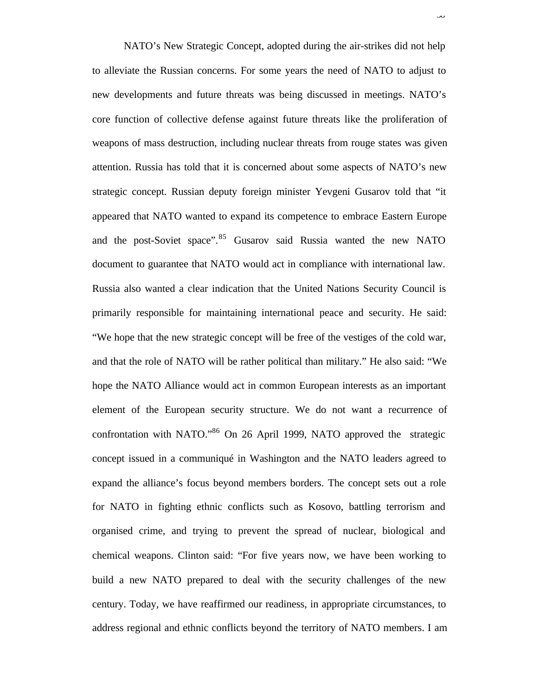NATO's New Strategic Concept, adopted during the air-strikes did not help to alleviate the Russian concerns. For some years the need of NATO to adjust to new developments and future threats was being discussed in meetings. NATO's core function of collective defense against future threats like the proliferation of weapons of mass destruction, including nuclear threats from rouge states was given attention. Russia has told that it is concerned about some aspects of NATO's new strategic concept. Russian deputy foreign minister Yevgeni Gusarov told that "it appeared that NATO wanted to expand its competence to embrace Eastern Europe and the post-Soviet space".<sup>85</sup> Gusarov said Russia wanted the new NATO document to guarantee that NATO would act in compliance with international law. Russia also wanted a clear indication that the United Nations Security Council is primarily responsible for maintaining international peace and security. He said: "We hope that the new strategic concept will be free of the vestiges of the cold war, and that the role of NATO will be rather political than military." He also said: "We hope the NATO Alliance would act in common European interests as an important element of the European security structure. We do not want a recurrence of confrontation with NATO."<sup>86</sup> On 26 April 1999, NATO approved the strategic concept issued in a communiqué in Washington and the NATO leaders agreed to expand the alliance's focus beyond members borders. The concept sets out a role for NATO in fighting ethnic conflicts such as Kosovo, battling terrorism and organised crime, and trying to prevent the spread of nuclear, biological and chemical weapons. Clinton said: "For five years now, we have been working to build a new NATO prepared to deal with the security challenges of the new century. Today, we have reaffirmed our readiness, in appropriate circumstances, to address regional and ethnic conflicts beyond the territory of NATO members. I am

**ي**ر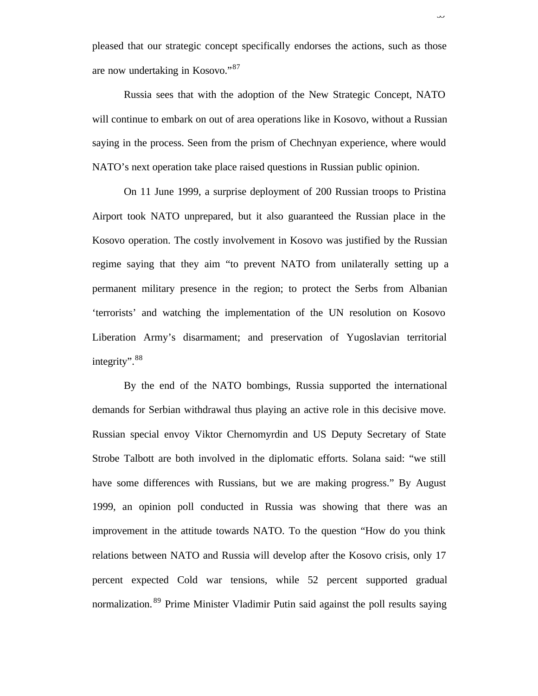pleased that our strategic concept specifically endorses the actions, such as those are now undertaking in Kosovo."<sup>87</sup>

ىر د

Russia sees that with the adoption of the New Strategic Concept, NATO will continue to embark on out of area operations like in Kosovo, without a Russian saying in the process. Seen from the prism of Chechnyan experience, where would NATO's next operation take place raised questions in Russian public opinion.

On 11 June 1999, a surprise deployment of 200 Russian troops to Pristina Airport took NATO unprepared, but it also guaranteed the Russian place in the Kosovo operation. The costly involvement in Kosovo was justified by the Russian regime saying that they aim "to prevent NATO from unilaterally setting up a permanent military presence in the region; to protect the Serbs from Albanian 'terrorists' and watching the implementation of the UN resolution on Kosovo Liberation Army's disarmament; and preservation of Yugoslavian territorial integrity".<sup>88</sup>

By the end of the NATO bombings, Russia supported the international demands for Serbian withdrawal thus playing an active role in this decisive move. Russian special envoy Viktor Chernomyrdin and US Deputy Secretary of State Strobe Talbott are both involved in the diplomatic efforts. Solana said: "we still have some differences with Russians, but we are making progress." By August 1999, an opinion poll conducted in Russia was showing that there was an improvement in the attitude towards NATO. To the question "How do you think relations between NATO and Russia will develop after the Kosovo crisis, only 17 percent expected Cold war tensions, while 52 percent supported gradual normalization. <sup>89</sup> Prime Minister Vladimir Putin said against the poll results saying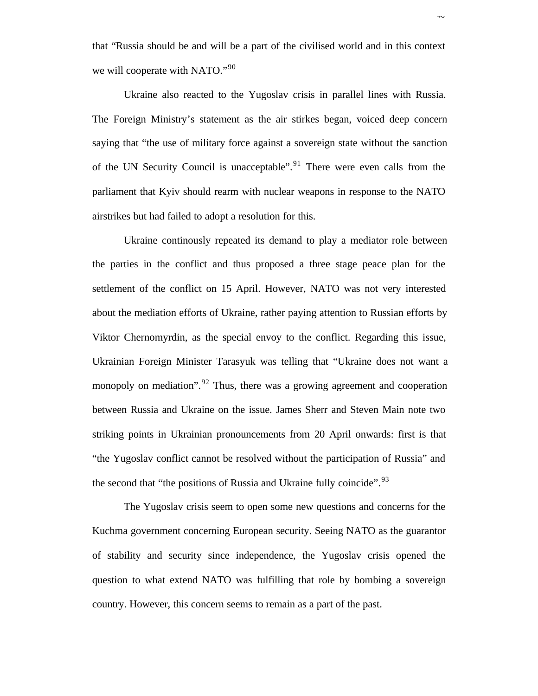that "Russia should be and will be a part of the civilised world and in this context we will cooperate with NATO."<sup>90</sup>

Ukraine also reacted to the Yugoslav crisis in parallel lines with Russia. The Foreign Ministry's statement as the air stirkes began, voiced deep concern saying that "the use of military force against a sovereign state without the sanction of the UN Security Council is unacceptable". <sup>91</sup> There were even calls from the parliament that Kyiv should rearm with nuclear weapons in response to the NATO airstrikes but had failed to adopt a resolution for this.

Ukraine continously repeated its demand to play a mediator role between the parties in the conflict and thus proposed a three stage peace plan for the settlement of the conflict on 15 April. However, NATO was not very interested about the mediation efforts of Ukraine, rather paying attention to Russian efforts by Viktor Chernomyrdin, as the special envoy to the conflict. Regarding this issue, Ukrainian Foreign Minister Tarasyuk was telling that "Ukraine does not want a monopoly on mediation".<sup>92</sup> Thus, there was a growing agreement and cooperation between Russia and Ukraine on the issue. James Sherr and Steven Main note two striking points in Ukrainian pronouncements from 20 April onwards: first is that "the Yugoslav conflict cannot be resolved without the participation of Russia" and the second that "the positions of Russia and Ukraine fully coincide".<sup>93</sup>

The Yugoslav crisis seem to open some new questions and concerns for the Kuchma government concerning European security. Seeing NATO as the guarantor of stability and security since independence, the Yugoslav crisis opened the question to what extend NATO was fulfilling that role by bombing a sovereign country. However, this concern seems to remain as a part of the past.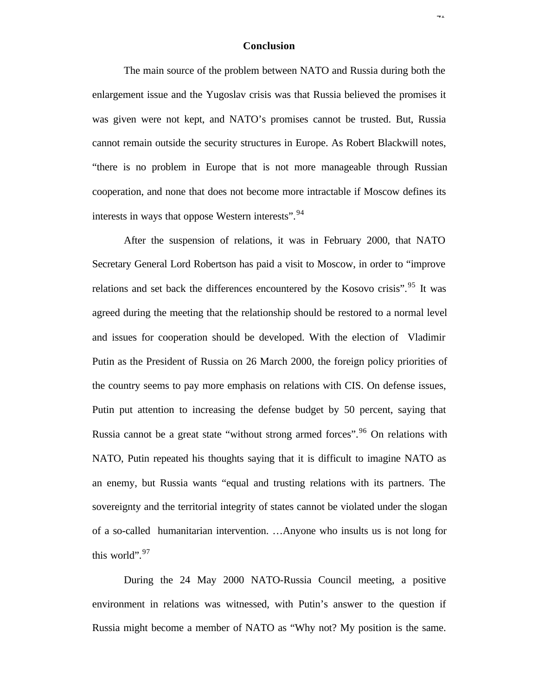### **Conclusion**

**+1** 

The main source of the problem between NATO and Russia during both the enlargement issue and the Yugoslav crisis was that Russia believed the promises it was given were not kept, and NATO's promises cannot be trusted. But, Russia cannot remain outside the security structures in Europe. As Robert Blackwill notes, "there is no problem in Europe that is not more manageable through Russian cooperation, and none that does not become more intractable if Moscow defines its interests in ways that oppose Western interests". <sup>94</sup>

After the suspension of relations, it was in February 2000, that NATO Secretary General Lord Robertson has paid a visit to Moscow, in order to "improve relations and set back the differences encountered by the Kosovo crisis".<sup>95</sup> It was agreed during the meeting that the relationship should be restored to a normal level and issues for cooperation should be developed. With the election of Vladimir Putin as the President of Russia on 26 March 2000, the foreign policy priorities of the country seems to pay more emphasis on relations with CIS. On defense issues, Putin put attention to increasing the defense budget by 50 percent, saying that Russia cannot be a great state "without strong armed forces".<sup>96</sup> On relations with NATO, Putin repeated his thoughts saying that it is difficult to imagine NATO as an enemy, but Russia wants "equal and trusting relations with its partners. The sovereignty and the territorial integrity of states cannot be violated under the slogan of a so-called humanitarian intervention. …Anyone who insults us is not long for this world".<sup>97</sup>

During the 24 May 2000 NATO-Russia Council meeting, a positive environment in relations was witnessed, with Putin's answer to the question if Russia might become a member of NATO as "Why not? My position is the same.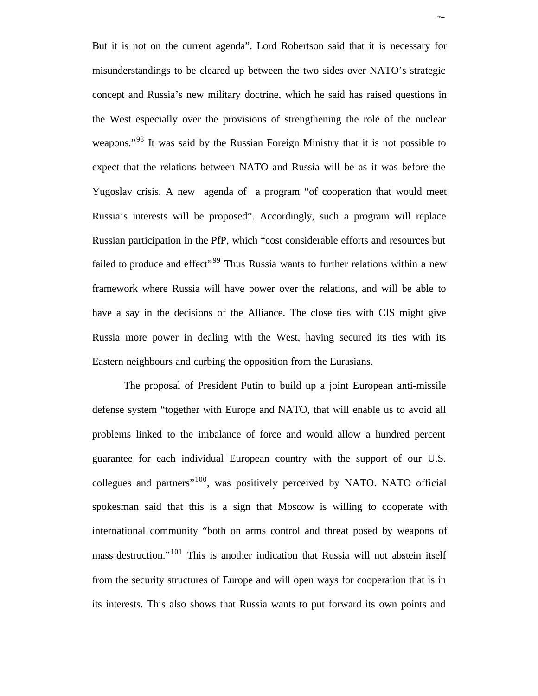But it is not on the current agenda". Lord Robertson said that it is necessary for misunderstandings to be cleared up between the two sides over NATO's strategic concept and Russia's new military doctrine, which he said has raised questions in the West especially over the provisions of strengthening the role of the nuclear weapons."<sup>98</sup> It was said by the Russian Foreign Ministry that it is not possible to expect that the relations between NATO and Russia will be as it was before the Yugoslav crisis. A new agenda of a program "of cooperation that would meet Russia's interests will be proposed". Accordingly, such a program will replace Russian participation in the PfP, which "cost considerable efforts and resources but failed to produce and effect"<sup>99</sup> Thus Russia wants to further relations within a new framework where Russia will have power over the relations, and will be able to have a say in the decisions of the Alliance. The close ties with CIS might give Russia more power in dealing with the West, having secured its ties with its Eastern neighbours and curbing the opposition from the Eurasians.

 $T\Delta$ 

The proposal of President Putin to build up a joint European anti-missile defense system "together with Europe and NATO, that will enable us to avoid all problems linked to the imbalance of force and would allow a hundred percent guarantee for each individual European country with the support of our U.S. collegues and partners"<sup>100</sup>, was positively perceived by NATO. NATO official spokesman said that this is a sign that Moscow is willing to cooperate with international community "both on arms control and threat posed by weapons of mass destruction."<sup>101</sup> This is another indication that Russia will not abstein itself from the security structures of Europe and will open ways for cooperation that is in its interests. This also shows that Russia wants to put forward its own points and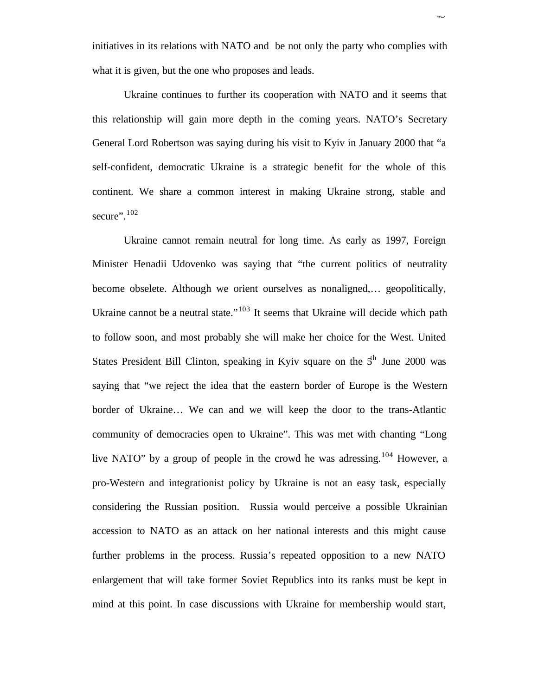initiatives in its relations with NATO and be not only the party who complies with what it is given, but the one who proposes and leads.

Ukraine continues to further its cooperation with NATO and it seems that this relationship will gain more depth in the coming years. NATO's Secretary General Lord Robertson was saying during his visit to Kyiv in January 2000 that "a self-confident, democratic Ukraine is a strategic benefit for the whole of this continent. We share a common interest in making Ukraine strong, stable and secure". $102$ 

Ukraine cannot remain neutral for long time. As early as 1997, Foreign Minister Henadii Udovenko was saying that "the current politics of neutrality become obselete. Although we orient ourselves as nonaligned,… geopolitically, Ukraine cannot be a neutral state." $103$  It seems that Ukraine will decide which path to follow soon, and most probably she will make her choice for the West. United States President Bill Clinton, speaking in Kyiv square on the  $5<sup>th</sup>$  June 2000 was saying that "we reject the idea that the eastern border of Europe is the Western border of Ukraine… We can and we will keep the door to the trans-Atlantic community of democracies open to Ukraine". This was met with chanting "Long live NATO" by a group of people in the crowd he was adressing.<sup>104</sup> However, a pro-Western and integrationist policy by Ukraine is not an easy task, especially considering the Russian position. Russia would perceive a possible Ukrainian accession to NATO as an attack on her national interests and this might cause further problems in the process. Russia's repeated opposition to a new NATO enlargement that will take former Soviet Republics into its ranks must be kept in mind at this point. In case discussions with Ukraine for membership would start,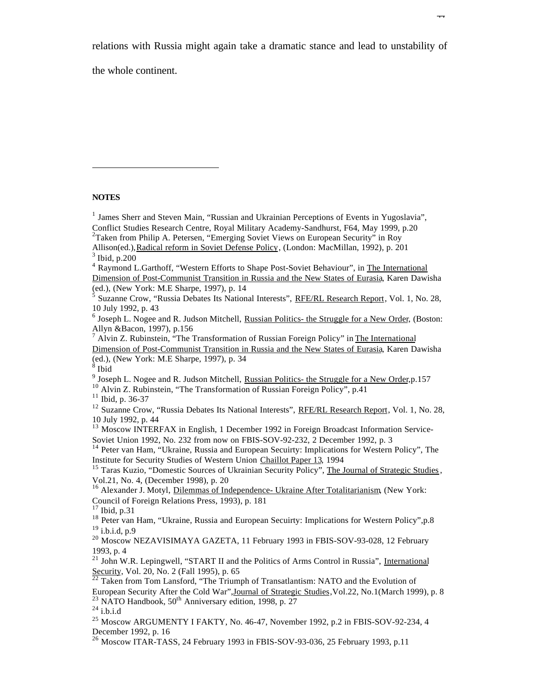relations with Russia might again take a dramatic stance and lead to unstability of

 $\overline{+}$ 

the whole continent.

#### **NOTES**

l

<sup>2</sup>Taken from Philip A. Petersen, "Emerging Soviet Views on European Security" in Roy

- <sup>4</sup> Raymond L.Garthoff, "Western Efforts to Shape Post-Soviet Behaviour", in The International Dimension of Post-Communist Transition in Russia and the New States of Eurasia, Karen Dawisha (ed.), (New York: M.E Sharpe, 1997), p. 14
- $\frac{5}{5}$  Suzanne Crow, "Russia Debates Its National Interests", RFE/RL Research Report, Vol. 1, No. 28, 10 July 1992, p. 43

<sup>13</sup> Moscow INTERFAX in English, 1 December 1992 in Foreign Broadcast Information Service-Soviet Union 1992, No. 232 from now on FBIS-SOV-92-232, 2 December 1992, p. 3

<sup>14</sup> Peter van Ham, "Ukraine, Russia and European Secuirty: Implications for Western Policy", The Institute for Security Studies of Western Union Chaillot Paper 13, 1994

<sup>15</sup> Taras Kuzio, "Domestic Sources of Ukrainian Security Policy", The Journal of Strategic Studies, Vol.21, No. 4, (December 1998), p. 20

<sup>16</sup> Alexander J. Motyl, Dilemmas of Independence- Ukraine After Totalitarianism, (New York: Council of Foreign Relations Press, 1993), p. 181

<sup>17</sup> Ibid, p.31

<sup>18</sup> Peter van Ham, "Ukraine, Russia and European Secuirty: Implications for Western Policy", p.8  $19$  i.b.i.d, p.9

<sup>20</sup> Moscow NEZAVISIMAYA GAZETA, 11 February 1993 in FBIS-SOV-93-028, 12 February 1993, p. 4

 $^{21}$  John W.R. Lepingwell, "START II and the Politics of Arms Control in Russia", International Security, Vol. 20, No. 2 (Fall 1995), p. 65

<sup>&</sup>lt;sup>1</sup> James Sherr and Steven Main, "Russian and Ukrainian Perceptions of Events in Yugoslavia", Conflict Studies Research Centre, Royal Military Academy-Sandhurst, F64, May 1999, p.20

Allison(ed.),Radical reform in Soviet Defense Policy, (London: MacMillan, 1992), p. 201 3 Ibid, p.200

<sup>&</sup>lt;sup>6</sup> Joseph L. Nogee and R. Judson Mitchell, Russian Politics- the Struggle for a New Order, (Boston: Allyn &Bacon, 1997), p.156

<sup>&</sup>lt;sup>7</sup> Alvin Z. Rubinstein, "The Transformation of Russian Foreign Policy" in The International Dimension of Post-Communist Transition in Russia and the New States of Eurasia, Karen Dawisha (ed.), (New York: M.E Sharpe, 1997), p. 34  $8$  Ibid

<sup>&</sup>lt;sup>9</sup> Joseph L. Nogee and R. Judson Mitchell, Russian Politics- the Struggle for a New Order, p.157

<sup>&</sup>lt;sup>10</sup> Alvin Z. Rubinstein, "The Transformation of Russian Foreign Policy", p.41

<sup>11</sup> Ibid, p. 36-37

 $12$  Suzanne Crow, "Russia Debates Its National Interests", RFE/RL Research Report, Vol. 1, No. 28, 10 July 1992, p. 44

 $\frac{22}{22}$  Taken from Tom Lansford, "The Triumph of Transatlantism: NATO and the Evolution of European Security After the Cold War",Journal of Strategic Studies,Vol.22, No.1(March 1999), p. 8  $23$  NATO Handbook,  $50<sup>th</sup>$  Anniversary edition, 1998, p. 27

 $^{24}$  i.b.i.d

<sup>&</sup>lt;sup>25</sup> Moscow ARGUMENTY I FAKTY, No. 46-47, November 1992, p.2 in FBIS-SOV-92-234, 4 December 1992, p. 16

 $^{26}$  Moscow ITAR-TASS, 24 February 1993 in FBIS-SOV-93-036, 25 February 1993, p.11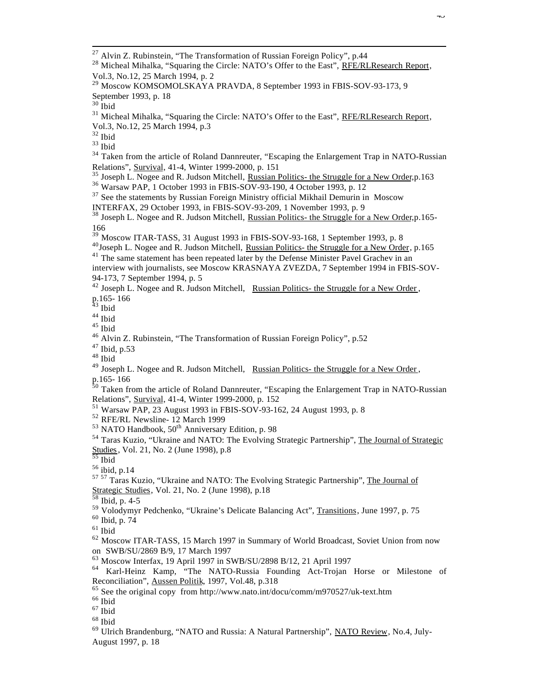l

<sup>33</sup> Ibid

<sup>34</sup> Taken from the article of Roland Dannreuter, "Escaping the Enlargement Trap in NATO-Russian Relations", Survival, 41-4, Winter 1999-2000, p. 151

<sup>35</sup> Joseph L. Nogee and R. Judson Mitchell, Russian Politics- the Struggle for a New Order, p.163

<sup>36</sup> Warsaw PAP, 1 October 1993 in FBIS-SOV-93-190, 4 October 1993, p. 12

<sup>37</sup> See the statements by Russian Foreign Ministry official Mikhail Demurin in Moscow INTERFAX, 29 October 1993, in FBIS-SOV-93-209, 1 November 1993, p. 9

<sup>38</sup> Joseph L. Nogee and R. Judson Mitchell, Russian Politics- the Struggle for a New Order, p.165-166

 $39$  Moscow ITAR-TASS, 31 August 1993 in FBIS-SOV-93-168, 1 September 1993, p. 8

 $^{40}$ Joseph L. Nogee and R. Judson Mitchell, Russian Politics- the Struggle for a New Order, p.165

 $41$  The same statement has been repeated later by the Defense Minister Pavel Grachev in an interview with journalists, see Moscow KRASNAYA ZVEZDA, 7 September 1994 in FBIS-SOV-94-173, 7 September 1994, p. 5

 $^{42}$  Joseph L. Nogee and R. Judson Mitchell, Russian Politics- the Struggle for a New Order, p.165- 166

<sup>43</sup> Ibid

<sup>44</sup> Ibid

<sup>45</sup> Ibid

- <sup>47</sup> Ibid, p.53
- $^{\rm 48}$  Ibid

 $^{49}$  Joseph L. Nogee and R. Judson Mitchell, Russian Politics- the Struggle for a New Order, p.165- 166

<sup>50</sup> Taken from the article of Roland Dannreuter, "Escaping the Enlargement Trap in NATO-Russian Relations", Survival, 41-4, Winter 1999-2000, p. 152

<sup>51</sup> Warsaw PAP, 23 August 1993 in FBIS-SOV-93-162, 24 August 1993, p. 8

<sup>52</sup> RFE/RL Newsline- 12 March 1999

 $53$  NATO Handbook,  $50<sup>th</sup>$  Anniversary Edition, p. 98

<sup>55</sup> Ibid

<sup>56</sup> ibid, p.14

57 57 Taras Kuzio, "Ukraine and NATO: The Evolving Strategic Partnership", The Journal of Strategic Studies, Vol. 21, No. 2 (June 1998), p.18

<sup>58</sup> Ibid, p. 4-5

<sup>59</sup> Volodymyr Pedchenko, "Ukraine's Delicate Balancing Act", Transitions, June 1997, p. 75

<sup>60</sup> Ibid, p. 74

 $61$  Ibid

<sup>62</sup> Moscow ITAR-TASS, 15 March 1997 in Summary of World Broadcast, Soviet Union from now on SWB/SU/2869 B/9, 17 March 1997

<sup>63</sup> Moscow Interfax, 19 April 1997 in SWB/SU/2898 B/12, 21 April 1997

<sup>64</sup> Karl-Heinz Kamp, "The NATO-Russia Founding Act-Trojan Horse or Milestone of Reconciliation", Aussen Politik, 1997, Vol.48, p.318

 $65$  See the original copy from http://www.nato.int/docu/comm/m970527/uk-text.htm

 $\rm ^{67}$  Ibid

<sup>68</sup> Ibid

<sup>69</sup> Ulrich Brandenburg, "NATO and Russia: A Natural Partnership", NATO Review, No.4, July-August 1997, p. 18

 $^{27}$  Alvin Z. Rubinstein, "The Transformation of Russian Foreign Policy", p.44

<sup>&</sup>lt;sup>28</sup> Micheal Mihalka, "Squaring the Circle: NATO's Offer to the East", RFE/RLResearch Report, Vol.3, No.12, 25 March 1994, p. 2

<sup>&</sup>lt;sup>29</sup> Moscow KOMSOMOLSKAYA PRAVDA, 8 September 1993 in FBIS-SOV-93-173, 9 September 1993, p. 18

 $30$  Ibid

<sup>&</sup>lt;sup>31</sup> Micheal Mihalka, "Squaring the Circle: NATO's Offer to the East", RFE/RLResearch Report, Vol.3, No.12, 25 March 1994, p.3

<sup>32</sup> Ibid

<sup>&</sup>lt;sup>46</sup> Alvin Z. Rubinstein, "The Transformation of Russian Foreign Policy", p.52

<sup>54</sup> Taras Kuzio, "Ukraine and NATO: The Evolving Strategic Partnership", The Journal of Strategic Studies, Vol. 21, No. 2 (June 1998), p.8

<sup>&</sup>lt;sup>66</sup> Ibid